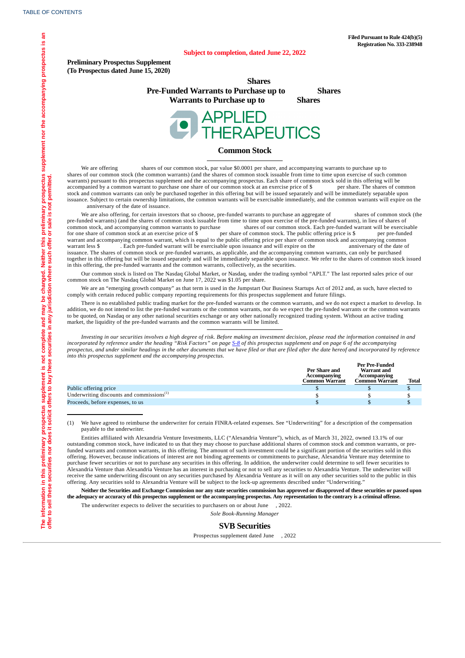#### **Subject to completion, dated June 22, 2022**

**Preliminary Prospectus Supplement (To Prospectus dated June 15, 2020)**

> **Shares Pre-Funded Warrants to Purchase up to Shares Warrants to Purchase up to Shares**



### **Common Stock**

We are offering shares of our common stock, par value \$0.0001 per share, and accompanying warrants to purchase up to shares of our common stock (the common warrants) (and the shares of common stock issuable from time to time upon exercise of such common warrants) pursuant to this prospectus supplement and the accompanying prospectus. Each share of common stock sold in this offering will be accompanied by a common warrant to purchase one share of our common stock at an exercise price of \$ per share. The shares of common stock and common warrants can only be purchased together in this offering but will be issued separately and will be immediately separable upon issuance. Subject to certain ownership limitations, the common warrants will be exercisable immediately, and the common warrants will expire on the anniversary of the date of issuance.

We are also offering, for certain investors that so choose, pre-funded warrants to purchase an aggregate of shares of common stock (the pre-funded warrants) (and the shares of common stock issuable from time to time upon exercise of the pre-funded warrants), in lieu of shares of common stock, and accompanying common warrants to purchase shares of our commo common stock, and accompanying common warrants to purchase shares of our common stock. Each pre-funded warrant will be exercisable<br>for one share of common stock at an exercise price of \$ per share of common stock. The publ per share of common stock. The public offering price is \$ warrant and accompanying common warrant, which is equal to the public offering price per share of common stock and accompanying common warrant less \$ . Each pre-funded warrant will be exercisable upon issuance and will expire on the anniversary of the date of issuance. The shares of common stock or pre-funded warrants, as applicable, and the accompanying common warrants, can only be purchased together in this offering but will be issued separately and will be immediately separable upon issuance. We refer to the shares of common stock issued in this offering, the pre-funded warrants and the common warrants, collectively, as the securities.

Our common stock is listed on The Nasdaq Global Market, or Nasdaq, under the trading symbol "APLT." The last reported sales price of our common stock on The Nasdaq Global Market on June 17, 2022 was \$1.05 per share.

We are an "emerging growth company" as that term is used in the Jumpstart Our Business Startups Act of 2012 and, as such, have elected to comply with certain reduced public company reporting requirements for this prospectus supplement and future filings.

There is no established public trading market for the pre-funded warrants or the common warrants, and we do not expect a market to develop. In addition, we do not intend to list the pre-funded warrants or the common warrants, nor do we expect the pre-funded warrants or the common warrants to be quoted, on Nasdaq or any other national securities exchange or any other nationally recognized trading system. Without an active trading market, the liquidity of the pre-funded warrants and the common warrants will be limited.

Investing in our securities involves a high degree of risk. Before making an investment decision, please read the information contained in and incorporated by reference under the heading "Risk Factors" on page [S-8](#page-8-0) of this prospectus supplement and on page 6 of the accompanying prospectus, and under similar headings in the other documents that we have filed or that are filed after the date hereof and incorporated by reference *into this prospectus supplement and the accompanying prospectus.*

|                                              | Per Share and<br><b>Accompanying</b> | Per Pre-Funded<br><b>Warrant</b> and<br>Accompanying |              |
|----------------------------------------------|--------------------------------------|------------------------------------------------------|--------------|
|                                              | Common Warrant                       | <b>Common Warrant</b>                                | <b>Total</b> |
| Public offering price                        |                                      |                                                      |              |
| Underwriting discounts and commissions $(1)$ |                                      |                                                      |              |
| Proceeds, before expenses, to us             |                                      |                                                      |              |

(1) We have agreed to reimburse the underwriter for certain FINRA-related expenses. See "Underwriting" for a description of the compensation payable to the underwriter.

Entities affiliated with Alexandria Venture Investments, LLC ("Alexandria Venture"), which, as of March 31, 2022, owned 13.1% of our outstanding common stock, have indicated to us that they may choose to purchase additional shares of common stock and common warrants, or prefunded warrants and common warrants, in this offering. The amount of such investment could be a significant portion of the securities sold in this offering. However, because indications of interest are not binding agreements or commitments to purchase, Alexandria Venture may determine to purchase fewer securities or not to purchase any securities in this offering. In addition, the underwriter could determine to sell fewer securities to Alexandria Venture than Alexandria Venture has an interest in purchasing or not to sell any securities to Alexandria Venture. The underwriter will receive the same underwriting discount on any securities purchased by Alexandria Venture as it will on any other securities sold to the public in this offering. Any securities sold to Alexandria Venture will be subject to the lock-up agreements described under "Underwriting."

Neither the Securities and Exchange Commission nor any state securities commission has approved or disapproved of these securities or passed upon the adequacy or accuracy of this prospectus supplement or the accompanying prospectus. Any representation to the contrary is a criminal offense.

<span id="page-0-0"></span>The underwriter expects to deliver the securities to purchasers on or about June , 2022.

*Sole Book-Running Manager*

### **SVB Securities**

Prospectus supplement dated June , 2022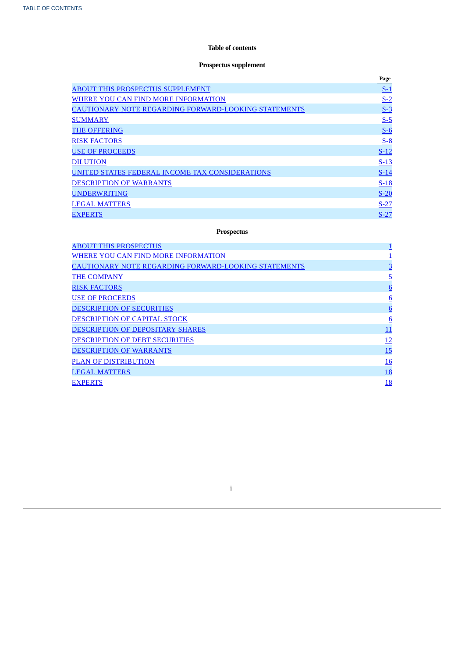# **Table of contents**

# **Prospectus supplement**

|                                                             | Page   |
|-------------------------------------------------------------|--------|
| <b>ABOUT THIS PROSPECTUS SUPPLEMENT</b>                     | $S-1$  |
| WHERE YOU CAN FIND MORE INFORMATION                         | $S-2$  |
| <b>CAUTIONARY NOTE REGARDING FORWARD-LOOKING STATEMENTS</b> | $S-3$  |
| <b>SUMMARY</b>                                              | $S-5$  |
| <b>THE OFFERING</b>                                         | $S-6$  |
| <b>RISK FACTORS</b>                                         | $S-8$  |
| <b>USE OF PROCEEDS</b>                                      | $S-12$ |
| <b>DILUTION</b>                                             | $S-13$ |
| UNITED STATES FEDERAL INCOME TAX CONSIDERATIONS             | $S-14$ |
| <b>DESCRIPTION OF WARRANTS</b>                              | $S-18$ |
| <b>UNDERWRITING</b>                                         | $S-20$ |
| <b>LEGAL MATTERS</b>                                        | $S-27$ |
| <b>EXPERTS</b>                                              | $S-27$ |

# **Prospectus**

| <b>ABOUT THIS PROSPECTUS</b>                                | $\overline{\mathbf{1}}$ |
|-------------------------------------------------------------|-------------------------|
| WHERE YOU CAN FIND MORE INFORMATION                         |                         |
| <b>CAUTIONARY NOTE REGARDING FORWARD-LOOKING STATEMENTS</b> | $\overline{3}$          |
| <b>THE COMPANY</b>                                          | $\overline{5}$          |
| <b>RISK FACTORS</b>                                         | 6                       |
| <b>USE OF PROCEEDS</b>                                      | 6                       |
| <b>DESCRIPTION OF SECURITIES</b>                            | 6                       |
| DESCRIPTION OF CAPITAL STOCK                                | 6                       |
| DESCRIPTION OF DEPOSITARY SHARES                            | 11                      |
| <b>DESCRIPTION OF DEBT SECURITIES</b>                       | <u> 12</u>              |
| <b>DESCRIPTION OF WARRANTS</b>                              | 15                      |
| <b>PLAN OF DISTRIBUTION</b>                                 | <u>16</u>               |
| <b>LEGAL MATTERS</b>                                        | <u>18</u>               |
| <b>EXPERTS</b>                                              | <u>18</u>               |

<span id="page-1-0"></span>i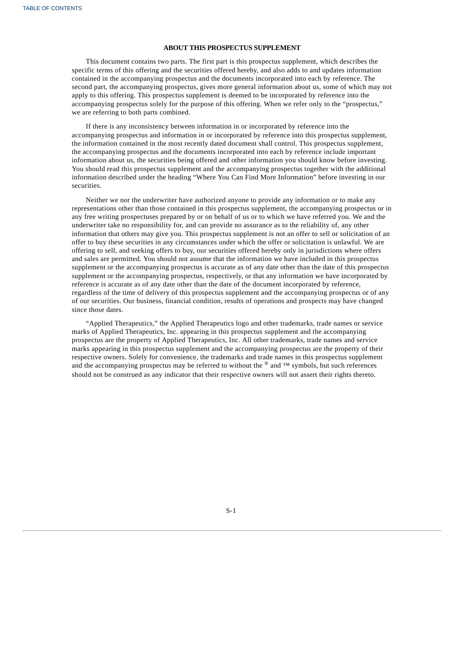### **ABOUT THIS PROSPECTUS SUPPLEMENT**

This document contains two parts. The first part is this prospectus supplement, which describes the specific terms of this offering and the securities offered hereby, and also adds to and updates information contained in the accompanying prospectus and the documents incorporated into each by reference. The second part, the accompanying prospectus, gives more general information about us, some of which may not apply to this offering. This prospectus supplement is deemed to be incorporated by reference into the accompanying prospectus solely for the purpose of this offering. When we refer only to the "prospectus," we are referring to both parts combined.

If there is any inconsistency between information in or incorporated by reference into the accompanying prospectus and information in or incorporated by reference into this prospectus supplement, the information contained in the most recently dated document shall control. This prospectus supplement, the accompanying prospectus and the documents incorporated into each by reference include important information about us, the securities being offered and other information you should know before investing. You should read this prospectus supplement and the accompanying prospectus together with the additional information described under the heading "Where You Can Find More Information" before investing in our securities.

Neither we nor the underwriter have authorized anyone to provide any information or to make any representations other than those contained in this prospectus supplement, the accompanying prospectus or in any free writing prospectuses prepared by or on behalf of us or to which we have referred you. We and the underwriter take no responsibility for, and can provide no assurance as to the reliability of, any other information that others may give you. This prospectus supplement is not an offer to sell or solicitation of an offer to buy these securities in any circumstances under which the offer or solicitation is unlawful. We are offering to sell, and seeking offers to buy, our securities offered hereby only in jurisdictions where offers and sales are permitted. You should not assume that the information we have included in this prospectus supplement or the accompanying prospectus is accurate as of any date other than the date of this prospectus supplement or the accompanying prospectus, respectively, or that any information we have incorporated by reference is accurate as of any date other than the date of the document incorporated by reference, regardless of the time of delivery of this prospectus supplement and the accompanying prospectus or of any of our securities. Our business, financial condition, results of operations and prospects may have changed since those dates.

<span id="page-2-0"></span>"Applied Therapeutics," the Applied Therapeutics logo and other trademarks, trade names or service marks of Applied Therapeutics, Inc. appearing in this prospectus supplement and the accompanying prospectus are the property of Applied Therapeutics, Inc. All other trademarks, trade names and service marks appearing in this prospectus supplement and the accompanying prospectus are the property of their respective owners. Solely for convenience, the trademarks and trade names in this prospectus supplement and the accompanying prospectus may be referred to without the  $^{\circledR}$  and ™ symbols, but such references should not be construed as any indicator that their respective owners will not assert their rights thereto.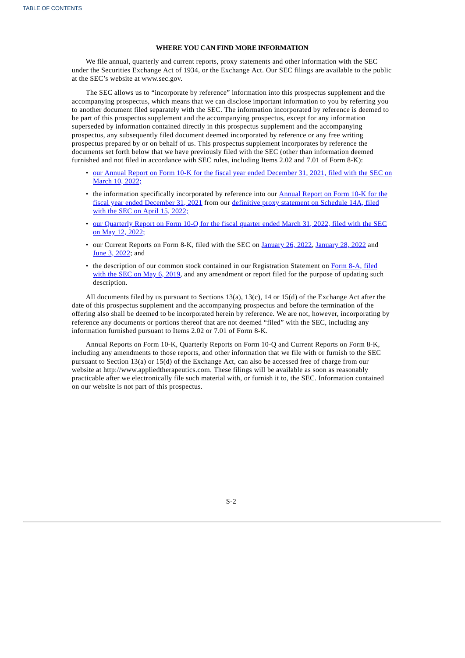### **WHERE YOU CAN FIND MORE INFORMATION**

We file annual, quarterly and current reports, proxy statements and other information with the SEC under the Securities Exchange Act of 1934, or the Exchange Act. Our SEC filings are available to the public at the SEC's website at www.sec.gov.

The SEC allows us to "incorporate by reference" information into this prospectus supplement and the accompanying prospectus, which means that we can disclose important information to you by referring you to another document filed separately with the SEC. The information incorporated by reference is deemed to be part of this prospectus supplement and the accompanying prospectus, except for any information superseded by information contained directly in this prospectus supplement and the accompanying prospectus, any subsequently filed document deemed incorporated by reference or any free writing prospectus prepared by or on behalf of us. This prospectus supplement incorporates by reference the documents set forth below that we have previously filed with the SEC (other than information deemed furnished and not filed in accordance with SEC rules, including Items 2.02 and 7.01 of Form 8-K):

- our Annual Report on Form 10-K for the fiscal year ended [December](https://www.sec.gov/ix?doc=/Archives/edgar/data/1697532/000155837022003206/aplt-20211231x10k.htm) 31, 2021, filed with the SEC on March 10, 2022;
- the information specifically [incorporated](https://www.sec.gov/ix?doc=/Archives/edgar/data/1697532/000155837022003206/aplt-20211231x10k.htm) by reference into our Annual Report on Form 10-K for the fiscal year ended [December](https://www.sec.gov/Archives/edgar/data/1697532/000114036122014669/ny20003386x1_def14a.htm) 31, 2021 from our definitive proxy statement on Schedule 14A, filed with the SEC on April 15, 2022;
- our [Quarterly](https://www.sec.gov/ix?doc=/Archives/edgar/data/1697532/000155837022008438/aplt-20220331x10q.htm) Report on Form 10-Q for the fiscal quarter ended March 31, 2022, filed with the SEC on May 12, 2022;
- our Current Reports on Form 8-K, filed with the SEC on [January](https://www.sec.gov/ix?doc=/Archives/edgar/data/1697532/000110465922009021/tm224734d1_8k.htm) 26, 2022, January 28, 2022 and June 3, [2022;](https://www.sec.gov/ix?doc=/Archives/edgar/data/1697532/000110465922067858/tm2217637d1_8k.htm) and
- the description of our common stock contained in our [Registration](https://www.sec.gov/Archives/edgar/data/1697532/000110465919027141/a19-3209_78a12b.htm) Statement on Form 8-A, filed with the SEC on May  $6, 2019$ , and any amendment or report filed for the purpose of updating such description.

All documents filed by us pursuant to Sections 13(a), 13(c), 14 or 15(d) of the Exchange Act after the date of this prospectus supplement and the accompanying prospectus and before the termination of the offering also shall be deemed to be incorporated herein by reference. We are not, however, incorporating by reference any documents or portions thereof that are not deemed "filed" with the SEC, including any information furnished pursuant to Items 2.02 or 7.01 of Form 8-K.

<span id="page-3-0"></span>Annual Reports on Form 10-K, Quarterly Reports on Form 10-Q and Current Reports on Form 8-K, including any amendments to those reports, and other information that we file with or furnish to the SEC pursuant to Section 13(a) or 15(d) of the Exchange Act, can also be accessed free of charge from our website at http://www.appliedtherapeutics.com. These filings will be available as soon as reasonably practicable after we electronically file such material with, or furnish it to, the SEC. Information contained on our website is not part of this prospectus.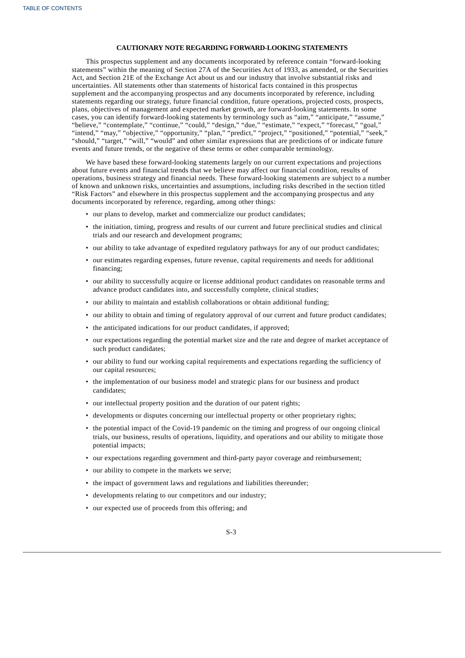### **CAUTIONARY NOTE REGARDING FORWARD-LOOKING STATEMENTS**

This prospectus supplement and any documents incorporated by reference contain "forward-looking statements" within the meaning of Section 27A of the Securities Act of 1933, as amended, or the Securities Act, and Section 21E of the Exchange Act about us and our industry that involve substantial risks and uncertainties. All statements other than statements of historical facts contained in this prospectus supplement and the accompanying prospectus and any documents incorporated by reference, including statements regarding our strategy, future financial condition, future operations, projected costs, prospects, plans, objectives of management and expected market growth, are forward-looking statements. In some cases, you can identify forward-looking statements by terminology such as "aim," "anticipate," "assume," "believe," "contemplate," "continue," "could," "design," "due," "estimate," "expect," "forecast," "goal," "intend," "may," "objective," "opportunity," "plan," "predict," "project," "positioned," "potential," "seek," "should," "target," "will," "would" and other similar expressions that are predictions of or indicate future events and future trends, or the negative of these terms or other comparable terminology.

We have based these forward-looking statements largely on our current expectations and projections about future events and financial trends that we believe may affect our financial condition, results of operations, business strategy and financial needs. These forward-looking statements are subject to a number of known and unknown risks, uncertainties and assumptions, including risks described in the section titled "Risk Factors" and elsewhere in this prospectus supplement and the accompanying prospectus and any documents incorporated by reference, regarding, among other things:

- our plans to develop, market and commercialize our product candidates;
- the initiation, timing, progress and results of our current and future preclinical studies and clinical trials and our research and development programs;
- our ability to take advantage of expedited regulatory pathways for any of our product candidates;
- our estimates regarding expenses, future revenue, capital requirements and needs for additional financing;
- our ability to successfully acquire or license additional product candidates on reasonable terms and advance product candidates into, and successfully complete, clinical studies;
- our ability to maintain and establish collaborations or obtain additional funding;
- our ability to obtain and timing of regulatory approval of our current and future product candidates;
- the anticipated indications for our product candidates, if approved;
- our expectations regarding the potential market size and the rate and degree of market acceptance of such product candidates;
- our ability to fund our working capital requirements and expectations regarding the sufficiency of our capital resources;
- the implementation of our business model and strategic plans for our business and product candidates;
- our intellectual property position and the duration of our patent rights;
- developments or disputes concerning our intellectual property or other proprietary rights;
- the potential impact of the Covid-19 pandemic on the timing and progress of our ongoing clinical trials, our business, results of operations, liquidity, and operations and our ability to mitigate those potential impacts;
- our expectations regarding government and third-party payor coverage and reimbursement;
- our ability to compete in the markets we serve;
- the impact of government laws and regulations and liabilities thereunder;
- developments relating to our competitors and our industry;
- our expected use of proceeds from this offering; and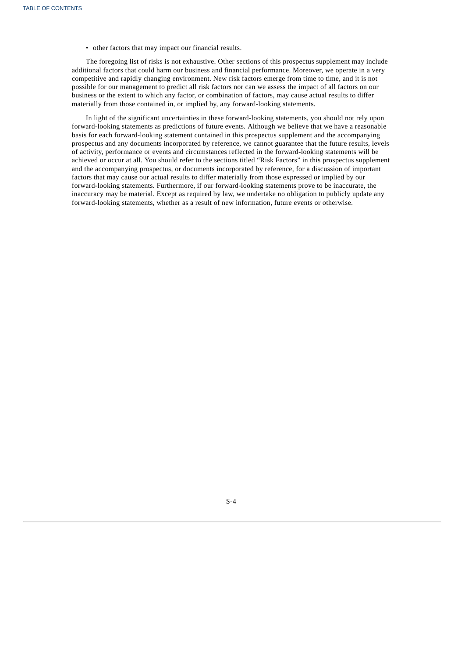• other factors that may impact our financial results.

The foregoing list of risks is not exhaustive. Other sections of this prospectus supplement may include additional factors that could harm our business and financial performance. Moreover, we operate in a very competitive and rapidly changing environment. New risk factors emerge from time to time, and it is not possible for our management to predict all risk factors nor can we assess the impact of all factors on our business or the extent to which any factor, or combination of factors, may cause actual results to differ materially from those contained in, or implied by, any forward-looking statements.

In light of the significant uncertainties in these forward-looking statements, you should not rely upon forward-looking statements as predictions of future events. Although we believe that we have a reasonable basis for each forward-looking statement contained in this prospectus supplement and the accompanying prospectus and any documents incorporated by reference, we cannot guarantee that the future results, levels of activity, performance or events and circumstances reflected in the forward-looking statements will be achieved or occur at all. You should refer to the sections titled "Risk Factors" in this prospectus supplement and the accompanying prospectus, or documents incorporated by reference, for a discussion of important factors that may cause our actual results to differ materially from those expressed or implied by our forward-looking statements. Furthermore, if our forward-looking statements prove to be inaccurate, the inaccuracy may be material. Except as required by law, we undertake no obligation to publicly update any forward-looking statements, whether as a result of new information, future events or otherwise.

<span id="page-5-0"></span>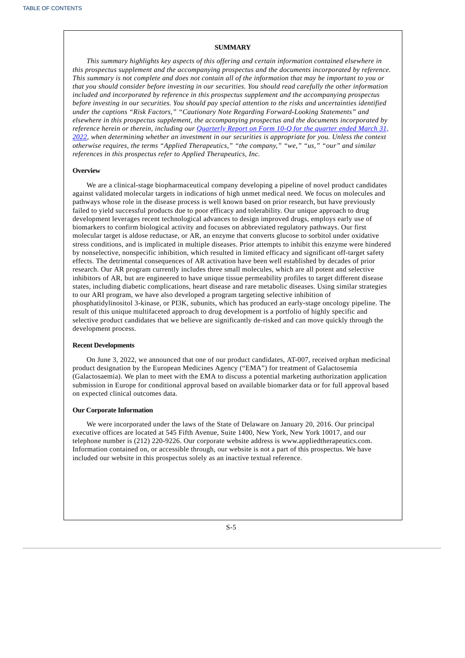### **SUMMARY**

*This summary highlights key aspects of this offering and certain information contained elsewhere in this prospectus supplement and the accompanying prospectus and the documents incorporated by reference.* This summary is not complete and does not contain all of the information that may be important to you or *that you should consider before investing in our securities. You should read carefully the other information included and incorporated by reference in this prospectus supplement and the accompanying prospectus before investing in our securities. You should pay special attention to the risks and uncertainties identified under the captions "Risk Factors," "Cautionary Note Regarding Forward-Looking Statements" and elsewhere in this prospectus supplement, the accompanying prospectus and the documents incorporated by reference herein or therein, including our Quarterly Report on Form 10-Q for the quarter ended March 31, 2022, when [determining](https://www.sec.gov/ix?doc=/Archives/edgar/data/1697532/000155837022008438/aplt-20220331x10q.htm) whether an investment in our securities is appropriate for you. Unless the context otherwise requires, the terms "Applied Therapeutics," "the company," "we," "us," "our" and similar references in this prospectus refer to Applied Therapeutics, Inc.*

#### **Overview**

We are a clinical-stage biopharmaceutical company developing a pipeline of novel product candidates against validated molecular targets in indications of high unmet medical need. We focus on molecules and pathways whose role in the disease process is well known based on prior research, but have previously failed to yield successful products due to poor efficacy and tolerability. Our unique approach to drug development leverages recent technological advances to design improved drugs, employs early use of biomarkers to confirm biological activity and focuses on abbreviated regulatory pathways. Our first molecular target is aldose reductase, or AR, an enzyme that converts glucose to sorbitol under oxidative stress conditions, and is implicated in multiple diseases. Prior attempts to inhibit this enzyme were hindered by nonselective, nonspecific inhibition, which resulted in limited efficacy and significant off-target safety effects. The detrimental consequences of AR activation have been well established by decades of prior research. Our AR program currently includes three small molecules, which are all potent and selective inhibitors of AR, but are engineered to have unique tissue permeability profiles to target different disease states, including diabetic complications, heart disease and rare metabolic diseases. Using similar strategies to our ARI program, we have also developed a program targeting selective inhibition of phosphatidylinositol 3-kinase, or PI3K, subunits, which has produced an early-stage oncology pipeline. The result of this unique multifaceted approach to drug development is a portfolio of highly specific and selective product candidates that we believe are significantly de-risked and can move quickly through the development process.

#### **Recent Developments**

On June 3, 2022, we announced that one of our product candidates, AT-007, received orphan medicinal product designation by the European Medicines Agency ("EMA") for treatment of Galactosemia (Galactosaemia). We plan to meet with the EMA to discuss a potential marketing authorization application submission in Europe for conditional approval based on available biomarker data or for full approval based on expected clinical outcomes data.

### **Our Corporate Information**

<span id="page-6-0"></span>We were incorporated under the laws of the State of Delaware on January 20, 2016. Our principal executive offices are located at 545 Fifth Avenue, Suite 1400, New York, New York 10017, and our telephone number is (212) 220-9226. Our corporate website address is www.appliedtherapeutics.com. Information contained on, or accessible through, our website is not a part of this prospectus. We have included our website in this prospectus solely as an inactive textual reference.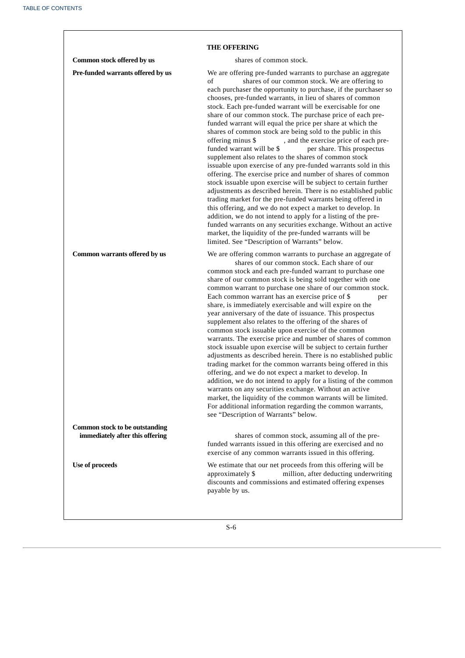| <b>THE OFFERING</b>                                                      |                                                                                                                                                                                                                                                                                                                                                                                                                                                                                                                                                                                                                                                                                                                                                                                                                                                                                                                                                                                                                                                                                                                                                                                                                                                                                                                                                     |  |  |
|--------------------------------------------------------------------------|-----------------------------------------------------------------------------------------------------------------------------------------------------------------------------------------------------------------------------------------------------------------------------------------------------------------------------------------------------------------------------------------------------------------------------------------------------------------------------------------------------------------------------------------------------------------------------------------------------------------------------------------------------------------------------------------------------------------------------------------------------------------------------------------------------------------------------------------------------------------------------------------------------------------------------------------------------------------------------------------------------------------------------------------------------------------------------------------------------------------------------------------------------------------------------------------------------------------------------------------------------------------------------------------------------------------------------------------------------|--|--|
| Common stock offered by us                                               | shares of common stock.                                                                                                                                                                                                                                                                                                                                                                                                                                                                                                                                                                                                                                                                                                                                                                                                                                                                                                                                                                                                                                                                                                                                                                                                                                                                                                                             |  |  |
| Pre-funded warrants offered by us                                        | We are offering pre-funded warrants to purchase an aggregate<br>shares of our common stock. We are offering to<br>of<br>each purchaser the opportunity to purchase, if the purchaser so<br>chooses, pre-funded warrants, in lieu of shares of common<br>stock. Each pre-funded warrant will be exercisable for one<br>share of our common stock. The purchase price of each pre-<br>funded warrant will equal the price per share at which the<br>shares of common stock are being sold to the public in this<br>, and the exercise price of each pre-<br>offering minus \$<br>funded warrant will be \$<br>per share. This prospectus<br>supplement also relates to the shares of common stock<br>issuable upon exercise of any pre-funded warrants sold in this<br>offering. The exercise price and number of shares of common<br>stock issuable upon exercise will be subject to certain further<br>adjustments as described herein. There is no established public<br>trading market for the pre-funded warrants being offered in<br>this offering, and we do not expect a market to develop. In<br>addition, we do not intend to apply for a listing of the pre-<br>funded warrants on any securities exchange. Without an active<br>market, the liquidity of the pre-funded warrants will be<br>limited. See "Description of Warrants" below. |  |  |
| Common warrants offered by us                                            | We are offering common warrants to purchase an aggregate of<br>shares of our common stock. Each share of our<br>common stock and each pre-funded warrant to purchase one<br>share of our common stock is being sold together with one<br>common warrant to purchase one share of our common stock.<br>Each common warrant has an exercise price of \$<br>per<br>share, is immediately exercisable and will expire on the<br>year anniversary of the date of issuance. This prospectus<br>supplement also relates to the offering of the shares of<br>common stock issuable upon exercise of the common<br>warrants. The exercise price and number of shares of common<br>stock issuable upon exercise will be subject to certain further<br>adjustments as described herein. There is no established public<br>trading market for the common warrants being offered in this<br>offering, and we do not expect a market to develop. In<br>addition, we do not intend to apply for a listing of the common<br>warrants on any securities exchange. Without an active<br>market, the liquidity of the common warrants will be limited.<br>For additional information regarding the common warrants,<br>see "Description of Warrants" below.                                                                                                            |  |  |
| <b>Common stock to be outstanding</b><br>immediately after this offering | shares of common stock, assuming all of the pre-<br>funded warrants issued in this offering are exercised and no<br>exercise of any common warrants issued in this offering.                                                                                                                                                                                                                                                                                                                                                                                                                                                                                                                                                                                                                                                                                                                                                                                                                                                                                                                                                                                                                                                                                                                                                                        |  |  |
| Use of proceeds                                                          | We estimate that our net proceeds from this offering will be<br>million, after deducting underwriting<br>approximately \$<br>discounts and commissions and estimated offering expenses<br>payable by us.                                                                                                                                                                                                                                                                                                                                                                                                                                                                                                                                                                                                                                                                                                                                                                                                                                                                                                                                                                                                                                                                                                                                            |  |  |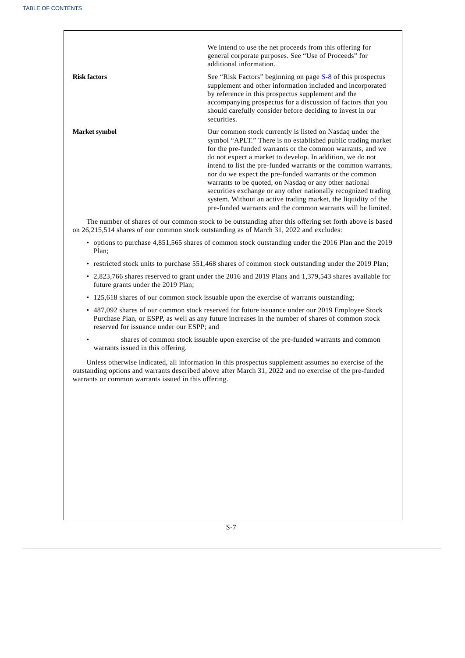|                      | We intend to use the net proceeds from this offering for<br>general corporate purposes. See "Use of Proceeds" for<br>additional information.                                                                                                                                                                                                                                                                                                                                                                                                                                                                                                  |
|----------------------|-----------------------------------------------------------------------------------------------------------------------------------------------------------------------------------------------------------------------------------------------------------------------------------------------------------------------------------------------------------------------------------------------------------------------------------------------------------------------------------------------------------------------------------------------------------------------------------------------------------------------------------------------|
| <b>Risk factors</b>  | See "Risk Factors" beginning on page <b>S-8</b> of this prospectus<br>supplement and other information included and incorporated<br>by reference in this prospectus supplement and the<br>accompanying prospectus for a discussion of factors that you<br>should carefully consider before deciding to invest in our<br>securities.                                                                                                                                                                                                                                                                                                           |
| <b>Market symbol</b> | Our common stock currently is listed on Nasdaq under the<br>symbol "APLT." There is no established public trading market<br>for the pre-funded warrants or the common warrants, and we<br>do not expect a market to develop. In addition, we do not<br>intend to list the pre-funded warrants or the common warrants,<br>nor do we expect the pre-funded warrants or the common<br>warrants to be quoted, on Nasdaq or any other national<br>securities exchange or any other nationally recognized trading<br>system. Without an active trading market, the liquidity of the<br>pre-funded warrants and the common warrants will be limited. |
|                      | The number of shares of our common stock to be outstanding after this offering set forth above is based                                                                                                                                                                                                                                                                                                                                                                                                                                                                                                                                       |

on 26,215,514 shares of our common stock outstanding as of March 31, 2022 and excludes:

- options to purchase 4,851,565 shares of common stock outstanding under the 2016 Plan and the 2019 Plan;
- restricted stock units to purchase 551,468 shares of common stock outstanding under the 2019 Plan;
- 2,823,766 shares reserved to grant under the 2016 and 2019 Plans and 1,379,543 shares available for future grants under the 2019 Plan;
- 125,618 shares of our common stock issuable upon the exercise of warrants outstanding;
- 487,092 shares of our common stock reserved for future issuance under our 2019 Employee Stock Purchase Plan, or ESPP, as well as any future increases in the number of shares of common stock reserved for issuance under our ESPP; and
- shares of common stock issuable upon exercise of the pre-funded warrants and common warrants issued in this offering.

<span id="page-8-0"></span>Unless otherwise indicated, all information in this prospectus supplement assumes no exercise of the outstanding options and warrants described above after March 31, 2022 and no exercise of the pre-funded warrants or common warrants issued in this offering.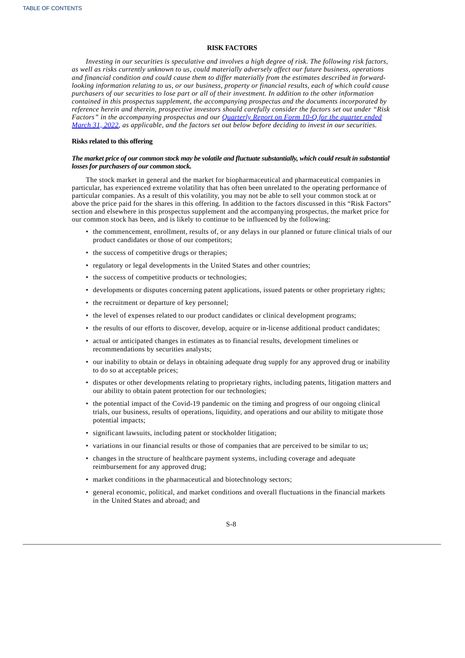### **RISK FACTORS**

Investing in our securities is speculative and involves a high degree of risk. The following risk factors, *as well as risks currently unknown to us, could materially adversely affect our future business, operations and financial condition and could cause them to differ materially from the estimates described in forward*looking information relating to us, or our business, property or financial results, each of which could cause purchasers of our securities to lose part or all of their investment. In addition to the other information *contained in this prospectus supplement, the accompanying prospectus and the documents incorporated by reference herein and therein, prospective investors should carefully consider the factors set out under "Risk Factors" in the [accompanying](https://www.sec.gov/ix?doc=/Archives/edgar/data/1697532/000155837022008438/aplt-20220331x10q.htm) prospectus and our Quarterly Report on Form 10-Q for the quarter ended* March 31, 2022, as applicable, and the factors set out below before deciding to invest in our securities.

### **Risks related to this offering**

### The market price of our common stock may be volatile and fluctuate substantially, which could result in substantial *losses for purchasers of our common stock.*

The stock market in general and the market for biopharmaceutical and pharmaceutical companies in particular, has experienced extreme volatility that has often been unrelated to the operating performance of particular companies. As a result of this volatility, you may not be able to sell your common stock at or above the price paid for the shares in this offering. In addition to the factors discussed in this "Risk Factors" section and elsewhere in this prospectus supplement and the accompanying prospectus, the market price for our common stock has been, and is likely to continue to be influenced by the following:

- the commencement, enrollment, results of, or any delays in our planned or future clinical trials of our product candidates or those of our competitors;
- the success of competitive drugs or therapies;
- regulatory or legal developments in the United States and other countries;
- the success of competitive products or technologies;
- developments or disputes concerning patent applications, issued patents or other proprietary rights;
- the recruitment or departure of key personnel;
- the level of expenses related to our product candidates or clinical development programs;
- the results of our efforts to discover, develop, acquire or in-license additional product candidates;
- actual or anticipated changes in estimates as to financial results, development timelines or recommendations by securities analysts;
- our inability to obtain or delays in obtaining adequate drug supply for any approved drug or inability to do so at acceptable prices;
- disputes or other developments relating to proprietary rights, including patents, litigation matters and our ability to obtain patent protection for our technologies;
- the potential impact of the Covid-19 pandemic on the timing and progress of our ongoing clinical trials, our business, results of operations, liquidity, and operations and our ability to mitigate those potential impacts;
- significant lawsuits, including patent or stockholder litigation;
- variations in our financial results or those of companies that are perceived to be similar to us;
- changes in the structure of healthcare payment systems, including coverage and adequate reimbursement for any approved drug;
- market conditions in the pharmaceutical and biotechnology sectors;
- general economic, political, and market conditions and overall fluctuations in the financial markets in the United States and abroad; and

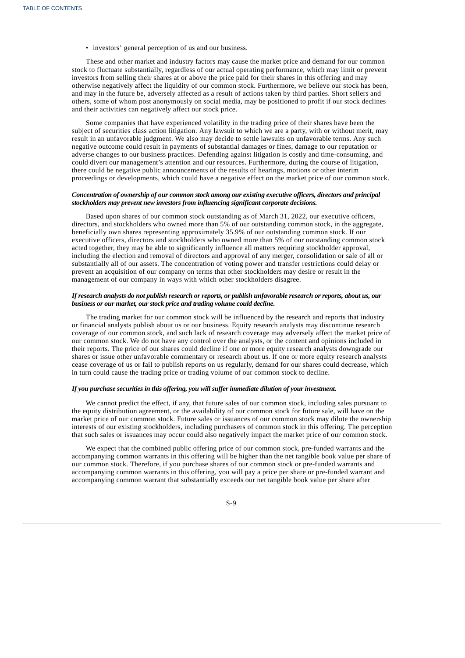• investors' general perception of us and our business.

These and other market and industry factors may cause the market price and demand for our common stock to fluctuate substantially, regardless of our actual operating performance, which may limit or prevent investors from selling their shares at or above the price paid for their shares in this offering and may otherwise negatively affect the liquidity of our common stock. Furthermore, we believe our stock has been, and may in the future be, adversely affected as a result of actions taken by third parties. Short sellers and others, some of whom post anonymously on social media, may be positioned to profit if our stock declines and their activities can negatively affect our stock price.

Some companies that have experienced volatility in the trading price of their shares have been the subject of securities class action litigation. Any lawsuit to which we are a party, with or without merit, may result in an unfavorable judgment. We also may decide to settle lawsuits on unfavorable terms. Any such negative outcome could result in payments of substantial damages or fines, damage to our reputation or adverse changes to our business practices. Defending against litigation is costly and time-consuming, and could divert our management's attention and our resources. Furthermore, during the course of litigation, there could be negative public announcements of the results of hearings, motions or other interim proceedings or developments, which could have a negative effect on the market price of our common stock.

### *Concentration of ownership of our common stock among our existing executive officers, directors and principal stockholders may prevent new investors from influencing significant corporate decisions.*

Based upon shares of our common stock outstanding as of March 31, 2022, our executive officers, directors, and stockholders who owned more than 5% of our outstanding common stock, in the aggregate, beneficially own shares representing approximately 35.9% of our outstanding common stock. If our executive officers, directors and stockholders who owned more than 5% of our outstanding common stock acted together, they may be able to significantly influence all matters requiring stockholder approval, including the election and removal of directors and approval of any merger, consolidation or sale of all or substantially all of our assets. The concentration of voting power and transfer restrictions could delay or prevent an acquisition of our company on terms that other stockholders may desire or result in the management of our company in ways with which other stockholders disagree.

### If research analysts do not publish research or reports, or publish unfavorable research or reports, about us, our *business or our market, our stock price and trading volume could decline.*

The trading market for our common stock will be influenced by the research and reports that industry or financial analysts publish about us or our business. Equity research analysts may discontinue research coverage of our common stock, and such lack of research coverage may adversely affect the market price of our common stock. We do not have any control over the analysts, or the content and opinions included in their reports. The price of our shares could decline if one or more equity research analysts downgrade our shares or issue other unfavorable commentary or research about us. If one or more equity research analysts cease coverage of us or fail to publish reports on us regularly, demand for our shares could decrease, which in turn could cause the trading price or trading volume of our common stock to decline.

### *If you purchase securities in this offering, you will suffer immediate dilution of your investment.*

We cannot predict the effect, if any, that future sales of our common stock, including sales pursuant to the equity distribution agreement, or the availability of our common stock for future sale, will have on the market price of our common stock. Future sales or issuances of our common stock may dilute the ownership interests of our existing stockholders, including purchasers of common stock in this offering. The perception that such sales or issuances may occur could also negatively impact the market price of our common stock.

We expect that the combined public offering price of our common stock, pre-funded warrants and the accompanying common warrants in this offering will be higher than the net tangible book value per share of our common stock. Therefore, if you purchase shares of our common stock or pre-funded warrants and accompanying common warrants in this offering, you will pay a price per share or pre-funded warrant and accompanying common warrant that substantially exceeds our net tangible book value per share after

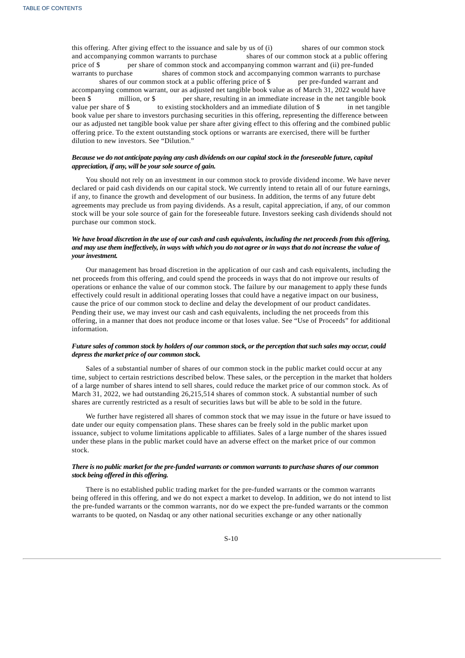this offering. After giving effect to the issuance and sale by us of (i) shares of our common stock and accompanying common warrants to purchase shares of our common stock at a public offering price of \$ per share of common stock and accompanying common warrant and (ii) pre-funded warrants to purchase shares of common stock and accompanying common warrants to purchase shares of our common stock at a public offering price of \$ per pre-funded warrant and accompanying common warrant, our as adjusted net tangible book value as of March 31, 2022 would have been \$ million, or \$ per share, resulting in an immediate increase in the net tangible book value per share of \$ to existing stockholders and an immediate dilution of \$ in net tangible book value per share to investors purchasing securities in this offering, representing the difference between our as adjusted net tangible book value per share after giving effect to this offering and the combined public offering price. To the extent outstanding stock options or warrants are exercised, there will be further dilution to new investors. See "Dilution."

### Because we do not anticipate paying any cash dividends on our capital stock in the foreseeable future, capital *appreciation, if any, will be your sole source of gain.*

You should not rely on an investment in our common stock to provide dividend income. We have never declared or paid cash dividends on our capital stock. We currently intend to retain all of our future earnings, if any, to finance the growth and development of our business. In addition, the terms of any future debt agreements may preclude us from paying dividends. As a result, capital appreciation, if any, of our common stock will be your sole source of gain for the foreseeable future. Investors seeking cash dividends should not purchase our common stock.

### We have broad discretion in the use of our cash and cash equivalents, including the net proceeds from this offering, and may use them ineffectively, in ways with which you do not agree or in ways that do not increase the value of *your investment.*

Our management has broad discretion in the application of our cash and cash equivalents, including the net proceeds from this offering, and could spend the proceeds in ways that do not improve our results of operations or enhance the value of our common stock. The failure by our management to apply these funds effectively could result in additional operating losses that could have a negative impact on our business, cause the price of our common stock to decline and delay the development of our product candidates. Pending their use, we may invest our cash and cash equivalents, including the net proceeds from this offering, in a manner that does not produce income or that loses value. See "Use of Proceeds" for additional information.

### Future sales of common stock by holders of our common stock, or the perception that such sales may occur, could *depress the market price of our common stock.*

Sales of a substantial number of shares of our common stock in the public market could occur at any time, subject to certain restrictions described below. These sales, or the perception in the market that holders of a large number of shares intend to sell shares, could reduce the market price of our common stock. As of March 31, 2022, we had outstanding 26,215,514 shares of common stock. A substantial number of such shares are currently restricted as a result of securities laws but will be able to be sold in the future.

We further have registered all shares of common stock that we may issue in the future or have issued to date under our equity compensation plans. These shares can be freely sold in the public market upon issuance, subject to volume limitations applicable to affiliates. Sales of a large number of the shares issued under these plans in the public market could have an adverse effect on the market price of our common stock.

### There is no public market for the pre-funded warrants or common warrants to purchase shares of our common *stock being offered in this offering.*

There is no established public trading market for the pre-funded warrants or the common warrants being offered in this offering, and we do not expect a market to develop. In addition, we do not intend to list the pre-funded warrants or the common warrants, nor do we expect the pre-funded warrants or the common warrants to be quoted, on Nasdaq or any other national securities exchange or any other nationally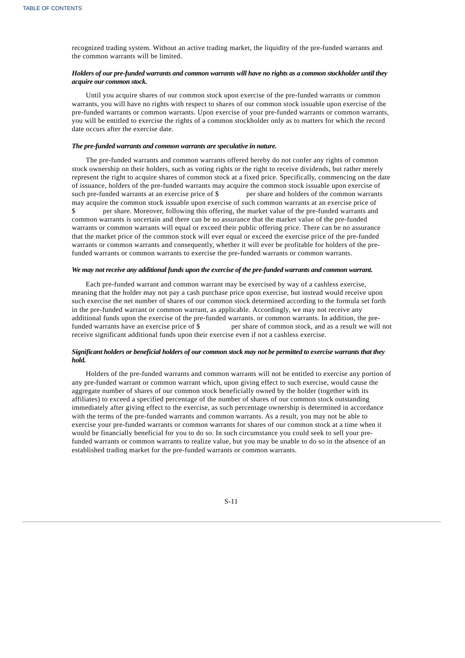recognized trading system. Without an active trading market, the liquidity of the pre-funded warrants and the common warrants will be limited.

### Holders of our pre-funded warrants and common warrants will have no rights as a common stockholder until they *acquire our common stock.*

Until you acquire shares of our common stock upon exercise of the pre-funded warrants or common warrants, you will have no rights with respect to shares of our common stock issuable upon exercise of the pre-funded warrants or common warrants. Upon exercise of your pre-funded warrants or common warrants, you will be entitled to exercise the rights of a common stockholder only as to matters for which the record date occurs after the exercise date.

#### *The pre-funded warrants and common warrants are speculative in nature.*

The pre-funded warrants and common warrants offered hereby do not confer any rights of common stock ownership on their holders, such as voting rights or the right to receive dividends, but rather merely represent the right to acquire shares of common stock at a fixed price. Specifically, commencing on the date of issuance, holders of the pre-funded warrants may acquire the common stock issuable upon exercise of such pre-funded warrants at an exercise price of \$ per share and holders of the common warrants such pre-funded warrants at an exercise price of \$ may acquire the common stock issuable upon exercise of such common warrants at an exercise price of per share. Moreover, following this offering, the market value of the pre-funded warrants and common warrants is uncertain and there can be no assurance that the market value of the pre-funded warrants or common warrants will equal or exceed their public offering price. There can be no assurance that the market price of the common stock will ever equal or exceed the exercise price of the pre-funded warrants or common warrants and consequently, whether it will ever be profitable for holders of the prefunded warrants or common warrants to exercise the pre-funded warrants or common warrants.

### *We may not receive any additional funds upon the exercise of the pre-funded warrants and common warrant.*

Each pre-funded warrant and common warrant may be exercised by way of a cashless exercise, meaning that the holder may not pay a cash purchase price upon exercise, but instead would receive upon such exercise the net number of shares of our common stock determined according to the formula set forth in the pre-funded warrant or common warrant, as applicable. Accordingly, we may not receive any additional funds upon the exercise of the pre-funded warrants. or common warrants. In addition, the prefunded warrants have an exercise price of \$ per share of common stock, and as a result we will not receive significant additional funds upon their exercise even if not a cashless exercise.

### Significant holders or beneficial holders of our common stock may not be permitted to exercise warrants that they *hold.*

<span id="page-12-0"></span>Holders of the pre-funded warrants and common warrants will not be entitled to exercise any portion of any pre-funded warrant or common warrant which, upon giving effect to such exercise, would cause the aggregate number of shares of our common stock beneficially owned by the holder (together with its affiliates) to exceed a specified percentage of the number of shares of our common stock outstanding immediately after giving effect to the exercise, as such percentage ownership is determined in accordance with the terms of the pre-funded warrants and common warrants. As a result, you may not be able to exercise your pre-funded warrants or common warrants for shares of our common stock at a time when it would be financially beneficial for you to do so. In such circumstance you could seek to sell your prefunded warrants or common warrants to realize value, but you may be unable to do so in the absence of an established trading market for the pre-funded warrants or common warrants.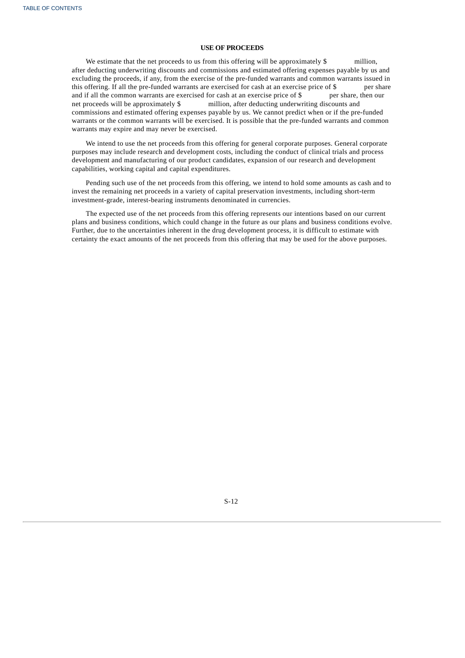### **USE OF PROCEEDS**

We estimate that the net proceeds to us from this offering will be approximately  $\oint$  million, after deducting underwriting discounts and commissions and estimated offering expenses payable by us and excluding the proceeds, if any, from the exercise of the pre-funded warrants and common warrants issued in this offering. If all the pre-funded warrants are exercised for cash at an exercise price of \$ per share and if all the common warrants are exercised for cash at an exercise price of \$ per share, then our net proceeds will be approximately \$ million, after deducting underwriting discounts and commissions and estimated offering expenses payable by us. We cannot predict when or if the pre-funded warrants or the common warrants will be exercised. It is possible that the pre-funded warrants and common warrants may expire and may never be exercised.

We intend to use the net proceeds from this offering for general corporate purposes. General corporate purposes may include research and development costs, including the conduct of clinical trials and process development and manufacturing of our product candidates, expansion of our research and development capabilities, working capital and capital expenditures.

Pending such use of the net proceeds from this offering, we intend to hold some amounts as cash and to invest the remaining net proceeds in a variety of capital preservation investments, including short-term investment-grade, interest-bearing instruments denominated in currencies.

<span id="page-13-0"></span>The expected use of the net proceeds from this offering represents our intentions based on our current plans and business conditions, which could change in the future as our plans and business conditions evolve. Further, due to the uncertainties inherent in the drug development process, it is difficult to estimate with certainty the exact amounts of the net proceeds from this offering that may be used for the above purposes.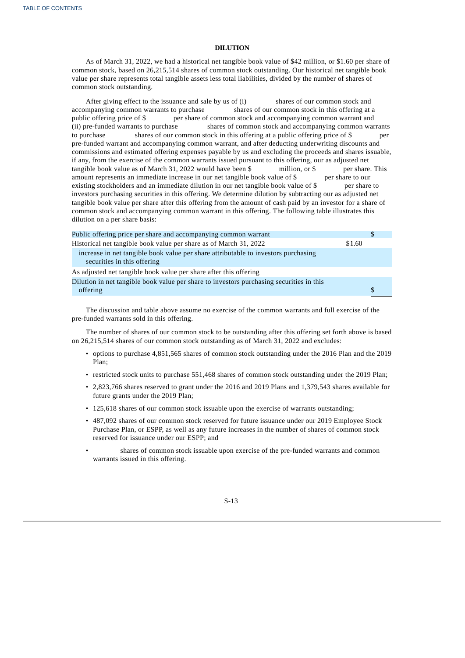### **DILUTION**

As of March 31, 2022, we had a historical net tangible book value of \$42 million, or \$1.60 per share of common stock, based on 26,215,514 shares of common stock outstanding. Our historical net tangible book value per share represents total tangible assets less total liabilities, divided by the number of shares of common stock outstanding.

After giving effect to the issuance and sale by us of (i) shares of our common stock and accompanying common warrants to purchase shares of our common stock in this offering at a public offering price of \$ per share of common stock and accompanying common warrant and (ii) pre-funded warrants to purchase shares of common stock and accompanying common warrants to purchase shares of our common stock in this offering at a public offering price of \$ per pre-funded warrant and accompanying common warrant, and after deducting underwriting discounts and commissions and estimated offering expenses payable by us and excluding the proceeds and shares issuable, if any, from the exercise of the common warrants issued pursuant to this offering, our as adjusted net tangible book value as of March 31, 2022 would have been \$ million, or \$ per share tangible book value as of March 31, 2022 would have been \$ million, or \$ per share. This amount represents an immediate increase in our net tangible book value of \$ per share to our existing stockholders and an immediate dilution in our net tangible book value of \$ per share to investors purchasing securities in this offering. We determine dilution by subtracting our as adjusted net tangible book value per share after this offering from the amount of cash paid by an investor for a share of common stock and accompanying common warrant in this offering. The following table illustrates this dilution on a per share basis:

| Public offering price per share and accompanying common warrant                                                   |        | \$. |
|-------------------------------------------------------------------------------------------------------------------|--------|-----|
| Historical net tangible book value per share as of March 31, 2022                                                 | \$1.60 |     |
| increase in net tangible book value per share attributable to investors purchasing<br>securities in this offering |        |     |
| As adjusted net tangible book value per share after this offering                                                 |        |     |
| Dilution in net tangible book value per share to investors purchasing securities in this<br>offering              |        | \$. |

The discussion and table above assume no exercise of the common warrants and full exercise of the pre-funded warrants sold in this offering.

The number of shares of our common stock to be outstanding after this offering set forth above is based on 26,215,514 shares of our common stock outstanding as of March 31, 2022 and excludes:

- options to purchase 4,851,565 shares of common stock outstanding under the 2016 Plan and the 2019 Plan;
- restricted stock units to purchase 551,468 shares of common stock outstanding under the 2019 Plan;
- 2,823,766 shares reserved to grant under the 2016 and 2019 Plans and 1,379,543 shares available for future grants under the 2019 Plan;
- 125,618 shares of our common stock issuable upon the exercise of warrants outstanding;
- 487,092 shares of our common stock reserved for future issuance under our 2019 Employee Stock Purchase Plan, or ESPP, as well as any future increases in the number of shares of common stock reserved for issuance under our ESPP; and
- <span id="page-14-0"></span>• shares of common stock issuable upon exercise of the pre-funded warrants and common warrants issued in this offering.

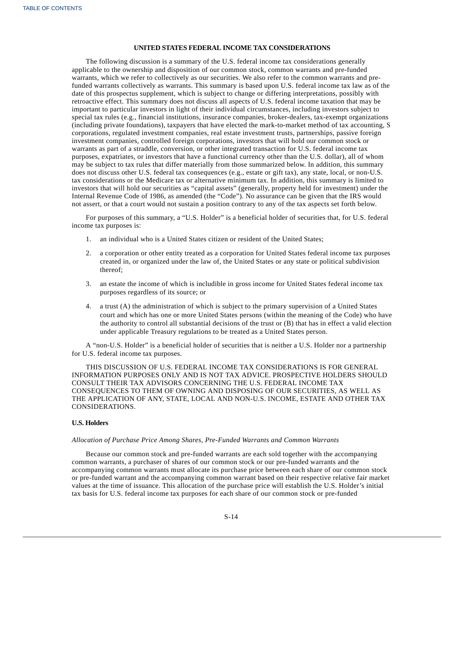### **UNITED STATES FEDERAL INCOME TAX CONSIDERATIONS**

The following discussion is a summary of the U.S. federal income tax considerations generally applicable to the ownership and disposition of our common stock, common warrants and pre-funded warrants, which we refer to collectively as our securities. We also refer to the common warrants and prefunded warrants collectively as warrants. This summary is based upon U.S. federal income tax law as of the date of this prospectus supplement, which is subject to change or differing interpretations, possibly with retroactive effect. This summary does not discuss all aspects of U.S. federal income taxation that may be important to particular investors in light of their individual circumstances, including investors subject to special tax rules (e.g., financial institutions, insurance companies, broker-dealers, tax-exempt organizations (including private foundations), taxpayers that have elected the mark-to-market method of tax accounting, S corporations, regulated investment companies, real estate investment trusts, partnerships, passive foreign investment companies, controlled foreign corporations, investors that will hold our common stock or warrants as part of a straddle, conversion, or other integrated transaction for U.S. federal income tax purposes, expatriates, or investors that have a functional currency other than the U.S. dollar), all of whom may be subject to tax rules that differ materially from those summarized below. In addition, this summary does not discuss other U.S. federal tax consequences (e.g., estate or gift tax), any state, local, or non-U.S. tax considerations or the Medicare tax or alternative minimum tax. In addition, this summary is limited to investors that will hold our securities as "capital assets" (generally, property held for investment) under the Internal Revenue Code of 1986, as amended (the "Code"). No assurance can be given that the IRS would not assert, or that a court would not sustain a position contrary to any of the tax aspects set forth below.

For purposes of this summary, a "U.S. Holder" is a beneficial holder of securities that, for U.S. federal income tax purposes is:

- 1. an individual who is a United States citizen or resident of the United States;
- 2. a corporation or other entity treated as a corporation for United States federal income tax purposes created in, or organized under the law of, the United States or any state or political subdivision thereof;
- 3. an estate the income of which is includible in gross income for United States federal income tax purposes regardless of its source; or
- 4. a trust (A) the administration of which is subject to the primary supervision of a United States court and which has one or more United States persons (within the meaning of the Code) who have the authority to control all substantial decisions of the trust or (B) that has in effect a valid election under applicable Treasury regulations to be treated as a United States person.

A "non-U.S. Holder" is a beneficial holder of securities that is neither a U.S. Holder nor a partnership for U.S. federal income tax purposes.

THIS DISCUSSION OF U.S. FEDERAL INCOME TAX CONSIDERATIONS IS FOR GENERAL INFORMATION PURPOSES ONLY AND IS NOT TAX ADVICE. PROSPECTIVE HOLDERS SHOULD CONSULT THEIR TAX ADVISORS CONCERNING THE U.S. FEDERAL INCOME TAX CONSEQUENCES TO THEM OF OWNING AND DISPOSING OF OUR SECURITIES, AS WELL AS THE APPLICATION OF ANY, STATE, LOCAL AND NON-U.S. INCOME, ESTATE AND OTHER TAX CONSIDERATIONS.

### **U.S. Holders**

*Allocation of Purchase Price Among Shares, Pre-Funded Warrants and Common Warrants*

Because our common stock and pre-funded warrants are each sold together with the accompanying common warrants, a purchaser of shares of our common stock or our pre-funded warrants and the accompanying common warrants must allocate its purchase price between each share of our common stock or pre-funded warrant and the accompanying common warrant based on their respective relative fair market values at the time of issuance. This allocation of the purchase price will establish the U.S. Holder's initial tax basis for U.S. federal income tax purposes for each share of our common stock or pre-funded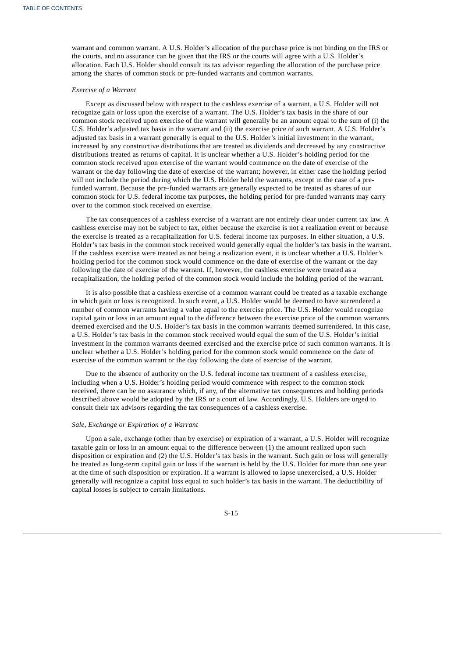warrant and common warrant. A U.S. Holder's allocation of the purchase price is not binding on the IRS or the courts, and no assurance can be given that the IRS or the courts will agree with a U.S. Holder's allocation. Each U.S. Holder should consult its tax advisor regarding the allocation of the purchase price among the shares of common stock or pre-funded warrants and common warrants.

### *Exercise of a Warrant*

Except as discussed below with respect to the cashless exercise of a warrant, a U.S. Holder will not recognize gain or loss upon the exercise of a warrant. The U.S. Holder's tax basis in the share of our common stock received upon exercise of the warrant will generally be an amount equal to the sum of (i) the U.S. Holder's adjusted tax basis in the warrant and (ii) the exercise price of such warrant. A U.S. Holder's adjusted tax basis in a warrant generally is equal to the U.S. Holder's initial investment in the warrant, increased by any constructive distributions that are treated as dividends and decreased by any constructive distributions treated as returns of capital. It is unclear whether a U.S. Holder's holding period for the common stock received upon exercise of the warrant would commence on the date of exercise of the warrant or the day following the date of exercise of the warrant; however, in either case the holding period will not include the period during which the U.S. Holder held the warrants, except in the case of a prefunded warrant. Because the pre-funded warrants are generally expected to be treated as shares of our common stock for U.S. federal income tax purposes, the holding period for pre-funded warrants may carry over to the common stock received on exercise.

The tax consequences of a cashless exercise of a warrant are not entirely clear under current tax law. A cashless exercise may not be subject to tax, either because the exercise is not a realization event or because the exercise is treated as a recapitalization for U.S. federal income tax purposes. In either situation, a U.S. Holder's tax basis in the common stock received would generally equal the holder's tax basis in the warrant. If the cashless exercise were treated as not being a realization event, it is unclear whether a U.S. Holder's holding period for the common stock would commence on the date of exercise of the warrant or the day following the date of exercise of the warrant. If, however, the cashless exercise were treated as a recapitalization, the holding period of the common stock would include the holding period of the warrant.

It is also possible that a cashless exercise of a common warrant could be treated as a taxable exchange in which gain or loss is recognized. In such event, a U.S. Holder would be deemed to have surrendered a number of common warrants having a value equal to the exercise price. The U.S. Holder would recognize capital gain or loss in an amount equal to the difference between the exercise price of the common warrants deemed exercised and the U.S. Holder's tax basis in the common warrants deemed surrendered. In this case, a U.S. Holder's tax basis in the common stock received would equal the sum of the U.S. Holder's initial investment in the common warrants deemed exercised and the exercise price of such common warrants. It is unclear whether a U.S. Holder's holding period for the common stock would commence on the date of exercise of the common warrant or the day following the date of exercise of the warrant.

Due to the absence of authority on the U.S. federal income tax treatment of a cashless exercise, including when a U.S. Holder's holding period would commence with respect to the common stock received, there can be no assurance which, if any, of the alternative tax consequences and holding periods described above would be adopted by the IRS or a court of law. Accordingly, U.S. Holders are urged to consult their tax advisors regarding the tax consequences of a cashless exercise.

#### *Sale, Exchange or Expiration of a Warrant*

Upon a sale, exchange (other than by exercise) or expiration of a warrant, a U.S. Holder will recognize taxable gain or loss in an amount equal to the difference between (1) the amount realized upon such disposition or expiration and (2) the U.S. Holder's tax basis in the warrant. Such gain or loss will generally be treated as long-term capital gain or loss if the warrant is held by the U.S. Holder for more than one year at the time of such disposition or expiration. If a warrant is allowed to lapse unexercised, a U.S. Holder generally will recognize a capital loss equal to such holder's tax basis in the warrant. The deductibility of capital losses is subject to certain limitations.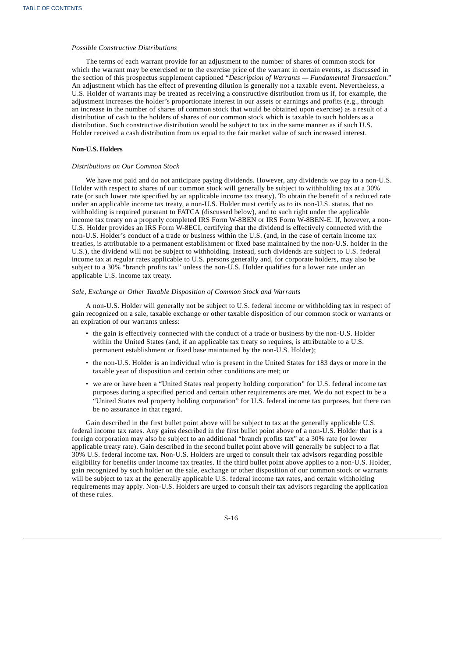### *Possible Constructive Distributions*

The terms of each warrant provide for an adjustment to the number of shares of common stock for which the warrant may be exercised or to the exercise price of the warrant in certain events, as discussed in the section of this prospectus supplement captioned "*Description of Warrants — Fundamental Transaction*." An adjustment which has the effect of preventing dilution is generally not a taxable event. Nevertheless, a U.S. Holder of warrants may be treated as receiving a constructive distribution from us if, for example, the adjustment increases the holder's proportionate interest in our assets or earnings and profits (e.g., through an increase in the number of shares of common stock that would be obtained upon exercise) as a result of a distribution of cash to the holders of shares of our common stock which is taxable to such holders as a distribution. Such constructive distribution would be subject to tax in the same manner as if such U.S. Holder received a cash distribution from us equal to the fair market value of such increased interest.

### **Non-U.S. Holders**

### *Distributions on Our Common Stock*

We have not paid and do not anticipate paying dividends. However, any dividends we pay to a non-U.S. Holder with respect to shares of our common stock will generally be subject to withholding tax at a 30% rate (or such lower rate specified by an applicable income tax treaty). To obtain the benefit of a reduced rate under an applicable income tax treaty, a non-U.S. Holder must certify as to its non-U.S. status, that no withholding is required pursuant to FATCA (discussed below), and to such right under the applicable income tax treaty on a properly completed IRS Form W-8BEN or IRS Form W-8BEN-E. If, however, a non-U.S. Holder provides an IRS Form W-8ECI, certifying that the dividend is effectively connected with the non-U.S. Holder's conduct of a trade or business within the U.S. (and, in the case of certain income tax treaties, is attributable to a permanent establishment or fixed base maintained by the non-U.S. holder in the U.S.), the dividend will not be subject to withholding. Instead, such dividends are subject to U.S. federal income tax at regular rates applicable to U.S. persons generally and, for corporate holders, may also be subject to a 30% "branch profits tax" unless the non-U.S. Holder qualifies for a lower rate under an applicable U.S. income tax treaty.

#### *Sale, Exchange or Other Taxable Disposition of Common Stock and Warrants*

A non-U.S. Holder will generally not be subject to U.S. federal income or withholding tax in respect of gain recognized on a sale, taxable exchange or other taxable disposition of our common stock or warrants or an expiration of our warrants unless:

- the gain is effectively connected with the conduct of a trade or business by the non-U.S. Holder within the United States (and, if an applicable tax treaty so requires, is attributable to a U.S. permanent establishment or fixed base maintained by the non-U.S. Holder);
- the non-U.S. Holder is an individual who is present in the United States for 183 days or more in the taxable year of disposition and certain other conditions are met; or
- we are or have been a "United States real property holding corporation" for U.S. federal income tax purposes during a specified period and certain other requirements are met. We do not expect to be a "United States real property holding corporation" for U.S. federal income tax purposes, but there can be no assurance in that regard.

Gain described in the first bullet point above will be subject to tax at the generally applicable U.S. federal income tax rates. Any gains described in the first bullet point above of a non-U.S. Holder that is a foreign corporation may also be subject to an additional "branch profits tax" at a 30% rate (or lower applicable treaty rate). Gain described in the second bullet point above will generally be subject to a flat 30% U.S. federal income tax. Non-U.S. Holders are urged to consult their tax advisors regarding possible eligibility for benefits under income tax treaties. If the third bullet point above applies to a non-U.S. Holder, gain recognized by such holder on the sale, exchange or other disposition of our common stock or warrants will be subject to tax at the generally applicable U.S. federal income tax rates, and certain withholding requirements may apply. Non-U.S. Holders are urged to consult their tax advisors regarding the application of these rules.

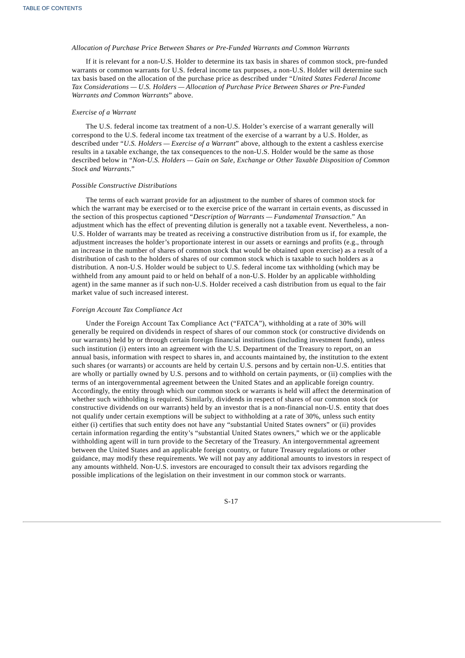### *Allocation of Purchase Price Between Shares or Pre-Funded Warrants and Common Warrants*

If it is relevant for a non-U.S. Holder to determine its tax basis in shares of common stock, pre-funded warrants or common warrants for U.S. federal income tax purposes, a non-U.S. Holder will determine such tax basis based on the allocation of the purchase price as described under "*United States Federal Income Tax Considerations — U.S. Holders — Allocation of Purchase Price Between Shares or Pre-Funded Warrants and Common Warrants*" above.

#### *Exercise of a Warrant*

The U.S. federal income tax treatment of a non-U.S. Holder's exercise of a warrant generally will correspond to the U.S. federal income tax treatment of the exercise of a warrant by a U.S. Holder, as described under "*U.S. Holders — Exercise of a Warrant*" above, although to the extent a cashless exercise results in a taxable exchange, the tax consequences to the non-U.S. Holder would be the same as those described below in "*Non-U.S. Holders — Gain on Sale, Exchange or Other Taxable Disposition of Common Stock and Warrants*."

#### *Possible Constructive Distributions*

The terms of each warrant provide for an adjustment to the number of shares of common stock for which the warrant may be exercised or to the exercise price of the warrant in certain events, as discussed in the section of this prospectus captioned "*Description of Warrants — Fundamental Transaction*." An adjustment which has the effect of preventing dilution is generally not a taxable event. Nevertheless, a non-U.S. Holder of warrants may be treated as receiving a constructive distribution from us if, for example, the adjustment increases the holder's proportionate interest in our assets or earnings and profits (e.g., through an increase in the number of shares of common stock that would be obtained upon exercise) as a result of a distribution of cash to the holders of shares of our common stock which is taxable to such holders as a distribution. A non-U.S. Holder would be subject to U.S. federal income tax withholding (which may be withheld from any amount paid to or held on behalf of a non-U.S. Holder by an applicable withholding agent) in the same manner as if such non-U.S. Holder received a cash distribution from us equal to the fair market value of such increased interest.

#### *Foreign Account Tax Compliance Act*

<span id="page-18-0"></span>Under the Foreign Account Tax Compliance Act ("FATCA"), withholding at a rate of 30% will generally be required on dividends in respect of shares of our common stock (or constructive dividends on our warrants) held by or through certain foreign financial institutions (including investment funds), unless such institution (i) enters into an agreement with the U.S. Department of the Treasury to report, on an annual basis, information with respect to shares in, and accounts maintained by, the institution to the extent such shares (or warrants) or accounts are held by certain U.S. persons and by certain non-U.S. entities that are wholly or partially owned by U.S. persons and to withhold on certain payments, or (ii) complies with the terms of an intergovernmental agreement between the United States and an applicable foreign country. Accordingly, the entity through which our common stock or warrants is held will affect the determination of whether such withholding is required. Similarly, dividends in respect of shares of our common stock (or constructive dividends on our warrants) held by an investor that is a non-financial non-U.S. entity that does not qualify under certain exemptions will be subject to withholding at a rate of 30%, unless such entity either (i) certifies that such entity does not have any "substantial United States owners" or (ii) provides certain information regarding the entity's "substantial United States owners," which we or the applicable withholding agent will in turn provide to the Secretary of the Treasury. An intergovernmental agreement between the United States and an applicable foreign country, or future Treasury regulations or other guidance, may modify these requirements. We will not pay any additional amounts to investors in respect of any amounts withheld. Non-U.S. investors are encouraged to consult their tax advisors regarding the possible implications of the legislation on their investment in our common stock or warrants.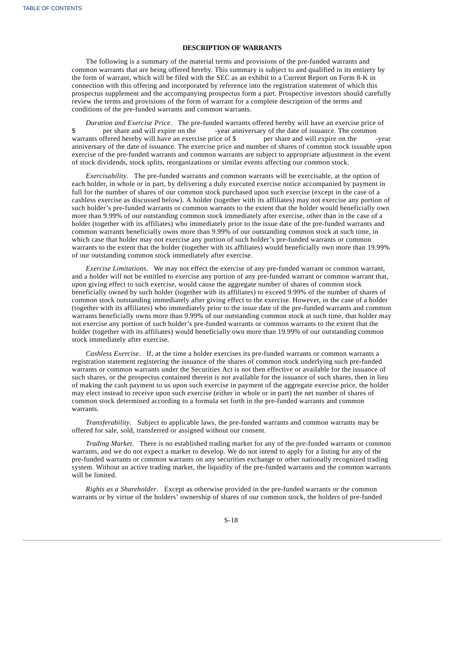### **DESCRIPTION OF WARRANTS**

The following is a summary of the material terms and provisions of the pre-funded warrants and common warrants that are being offered hereby. This summary is subject to and qualified in its entirety by the form of warrant, which will be filed with the SEC as an exhibit to a Current Report on Form 8-K in connection with this offering and incorporated by reference into the registration statement of which this prospectus supplement and the accompanying prospectus form a part. Prospective investors should carefully review the terms and provisions of the form of warrant for a complete description of the terms and conditions of the pre-funded warrants and common warrants.

*Duration and Exercise Price*. The pre-funded warrants offered hereby will have an exercise price of \$ per share and will expire on the -year anniversary of the date of issuance. The common warrants offered hereby will have an exercise price of \$ per share and will expire on the -year anniversary of the date of issuance. The exercise price and number of shares of common stock issuable upon exercise of the pre-funded warrants and common warrants are subject to appropriate adjustment in the event of stock dividends, stock splits, reorganizations or similar events affecting our common stock.

*Exercisability*. The pre-funded warrants and common warrants will be exercisable, at the option of each holder, in whole or in part, by delivering a duly executed exercise notice accompanied by payment in full for the number of shares of our common stock purchased upon such exercise (except in the case of a cashless exercise as discussed below). A holder (together with its affiliates) may not exercise any portion of such holder's pre-funded warrants or common warrants to the extent that the holder would beneficially own more than 9.99% of our outstanding common stock immediately after exercise, other than in the case of a holder (together with its affiliates) who immediately prior to the issue date of the pre-funded warrants and common warrants beneficially owns more than 9.99% of our outstanding common stock at such time, in which case that holder may not exercise any portion of such holder's pre-funded warrants or common warrants to the extent that the holder (together with its affiliates) would beneficially own more than 19.99% of our outstanding common stock immediately after exercise.

*Exercise Limitations*. We may not effect the exercise of any pre-funded warrant or common warrant, and a holder will not be entitled to exercise any portion of any pre-funded warrant or common warrant that, upon giving effect to such exercise, would cause the aggregate number of shares of common stock beneficially owned by such holder (together with its affiliates) to exceed 9.99% of the number of shares of common stock outstanding immediately after giving effect to the exercise. However, in the case of a holder (together with its affiliates) who immediately prior to the issue date of the pre-funded warrants and common warrants beneficially owns more than 9.99% of our outstanding common stock at such time, that holder may not exercise any portion of such holder's pre-funded warrants or common warrants to the extent that the holder (together with its affiliates) would beneficially own more than 19.99% of our outstanding common stock immediately after exercise.

*Cashless Exercise*. If, at the time a holder exercises its pre-funded warrants or common warrants a registration statement registering the issuance of the shares of common stock underlying such pre-funded warrants or common warrants under the Securities Act is not then effective or available for the issuance of such shares, or the prospectus contained therein is not available for the issuance of such shares, then in lieu of making the cash payment to us upon such exercise in payment of the aggregate exercise price, the holder may elect instead to receive upon such exercise (either in whole or in part) the net number of shares of common stock determined according to a formula set forth in the pre-funded warrants and common warrants.

*Transferability*. Subject to applicable laws, the pre-funded warrants and common warrants may be offered for sale, sold, transferred or assigned without our consent.

*Trading Market*. There is no established trading market for any of the pre-funded warrants or common warrants, and we do not expect a market to develop. We do not intend to apply for a listing for any of the pre-funded warrants or common warrants on any securities exchange or other nationally recognized trading system. Without an active trading market, the liquidity of the pre-funded warrants and the common warrants will be limited.

*Rights as a Shareholder*. Except as otherwise provided in the pre-funded warrants or the common warrants or by virtue of the holders' ownership of shares of our common stock, the holders of pre-funded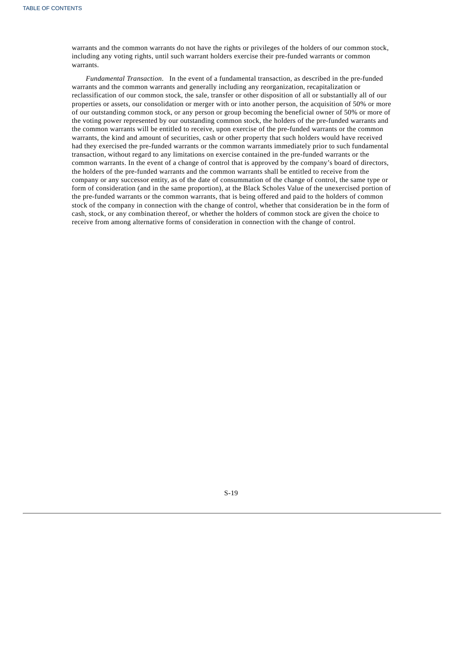warrants and the common warrants do not have the rights or privileges of the holders of our common stock, including any voting rights, until such warrant holders exercise their pre-funded warrants or common warrants.

<span id="page-20-0"></span>*Fundamental Transaction*. In the event of a fundamental transaction, as described in the pre-funded warrants and the common warrants and generally including any reorganization, recapitalization or reclassification of our common stock, the sale, transfer or other disposition of all or substantially all of our properties or assets, our consolidation or merger with or into another person, the acquisition of 50% or more of our outstanding common stock, or any person or group becoming the beneficial owner of 50% or more of the voting power represented by our outstanding common stock, the holders of the pre-funded warrants and the common warrants will be entitled to receive, upon exercise of the pre-funded warrants or the common warrants, the kind and amount of securities, cash or other property that such holders would have received had they exercised the pre-funded warrants or the common warrants immediately prior to such fundamental transaction, without regard to any limitations on exercise contained in the pre-funded warrants or the common warrants. In the event of a change of control that is approved by the company's board of directors, the holders of the pre-funded warrants and the common warrants shall be entitled to receive from the company or any successor entity, as of the date of consummation of the change of control, the same type or form of consideration (and in the same proportion), at the Black Scholes Value of the unexercised portion of the pre-funded warrants or the common warrants, that is being offered and paid to the holders of common stock of the company in connection with the change of control, whether that consideration be in the form of cash, stock, or any combination thereof, or whether the holders of common stock are given the choice to receive from among alternative forms of consideration in connection with the change of control.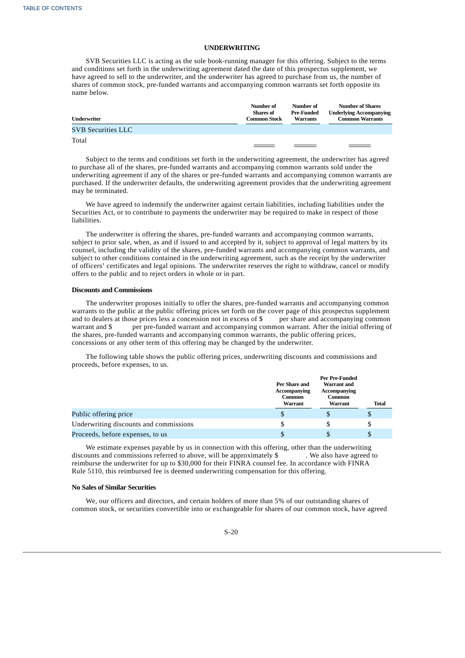### **UNDERWRITING**

SVB Securities LLC is acting as the sole book-running manager for this offering. Subject to the terms and conditions set forth in the underwriting agreement dated the date of this prospectus supplement, we have agreed to sell to the underwriter, and the underwriter has agreed to purchase from us, the number of shares of common stock, pre-funded warrants and accompanying common warrants set forth opposite its name below.

| Underwriter               | Number of<br>Number of<br><b>Shares of</b><br>Pre-Funded<br><b>Common Stock</b><br><b>Warrants</b> |  | <b>Number of Shares</b><br><b>Underlying Accompanying</b><br><b>Common Warrants</b> |  |
|---------------------------|----------------------------------------------------------------------------------------------------|--|-------------------------------------------------------------------------------------|--|
| <b>SVB Securities LLC</b> |                                                                                                    |  |                                                                                     |  |
| Total                     |                                                                                                    |  |                                                                                     |  |

Subject to the terms and conditions set forth in the underwriting agreement, the underwriter has agreed to purchase all of the shares, pre-funded warrants and accompanying common warrants sold under the underwriting agreement if any of the shares or pre-funded warrants and accompanying common warrants are purchased. If the underwriter defaults, the underwriting agreement provides that the underwriting agreement may be terminated.

We have agreed to indemnify the underwriter against certain liabilities, including liabilities under the Securities Act, or to contribute to payments the underwriter may be required to make in respect of those liabilities.

The underwriter is offering the shares, pre-funded warrants and accompanying common warrants, subject to prior sale, when, as and if issued to and accepted by it, subject to approval of legal matters by its counsel, including the validity of the shares, pre-funded warrants and accompanying common warrants, and subject to other conditions contained in the underwriting agreement, such as the receipt by the underwriter of officers' certificates and legal opinions. The underwriter reserves the right to withdraw, cancel or modify offers to the public and to reject orders in whole or in part.

### **Discounts and Commissions**

The underwriter proposes initially to offer the shares, pre-funded warrants and accompanying common warrants to the public at the public offering prices set forth on the cover page of this prospectus supplement and to dealers at those prices less a concession not in excess of \$ per share and accompanying common warrant and \$ per pre-funded warrant and accompanying common warrant. After the initial offering of the shares, pre-funded warrants and accompanying common warrants, the public offering prices, concessions or any other term of this offering may be changed by the underwriter.

The following table shows the public offering prices, underwriting discounts and commissions and proceeds, before expenses, to us.

|                                        | Per Share and<br>Accompanying<br><b>Common</b><br><b>Warrant</b> | Per Pre-Funded<br><b>Warrant</b> and<br>Accompanying<br><b>Common</b><br><b>Warrant</b> | <b>Total</b> |
|----------------------------------------|------------------------------------------------------------------|-----------------------------------------------------------------------------------------|--------------|
| Public offering price                  |                                                                  |                                                                                         | \$           |
| Underwriting discounts and commissions |                                                                  | \$.                                                                                     | \$           |
| Proceeds, before expenses, to us       |                                                                  |                                                                                         |              |

We estimate expenses payable by us in connection with this offering, other than the underwriting discounts and commissions referred to above, will be approximately \$ . We also have agreed to reimburse the underwriter for up to \$30,000 for their FINRA counsel fee. In accordance with FINRA Rule 5110, this reimbursed fee is deemed underwriting compensation for this offering.

### **No Sales of Similar Securities**

We, our officers and directors, and certain holders of more than 5% of our outstanding shares of common stock, or securities convertible into or exchangeable for shares of our common stock, have agreed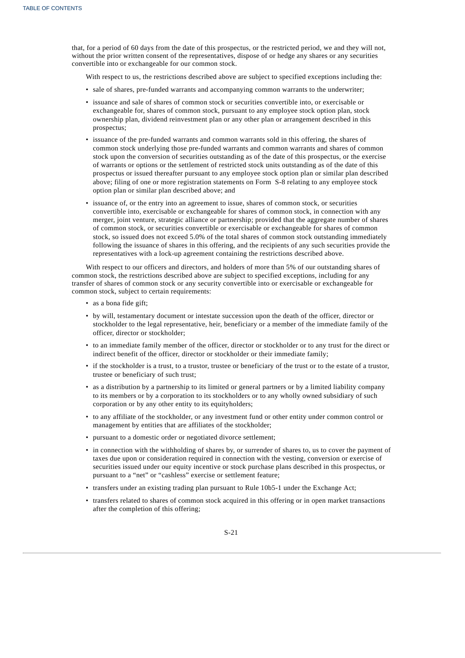that, for a period of 60 days from the date of this prospectus, or the restricted period, we and they will not, without the prior written consent of the representatives, dispose of or hedge any shares or any securities convertible into or exchangeable for our common stock.

With respect to us, the restrictions described above are subject to specified exceptions including the:

- sale of shares, pre-funded warrants and accompanying common warrants to the underwriter;
- issuance and sale of shares of common stock or securities convertible into, or exercisable or exchangeable for, shares of common stock, pursuant to any employee stock option plan, stock ownership plan, dividend reinvestment plan or any other plan or arrangement described in this prospectus;
- issuance of the pre-funded warrants and common warrants sold in this offering, the shares of common stock underlying those pre-funded warrants and common warrants and shares of common stock upon the conversion of securities outstanding as of the date of this prospectus, or the exercise of warrants or options or the settlement of restricted stock units outstanding as of the date of this prospectus or issued thereafter pursuant to any employee stock option plan or similar plan described above; filing of one or more registration statements on Form S-8 relating to any employee stock option plan or similar plan described above; and
- issuance of, or the entry into an agreement to issue, shares of common stock, or securities convertible into, exercisable or exchangeable for shares of common stock, in connection with any merger, joint venture, strategic alliance or partnership; provided that the aggregate number of shares of common stock, or securities convertible or exercisable or exchangeable for shares of common stock, so issued does not exceed 5.0% of the total shares of common stock outstanding immediately following the issuance of shares in this offering, and the recipients of any such securities provide the representatives with a lock-up agreement containing the restrictions described above.

With respect to our officers and directors, and holders of more than 5% of our outstanding shares of common stock, the restrictions described above are subject to specified exceptions, including for any transfer of shares of common stock or any security convertible into or exercisable or exchangeable for common stock, subject to certain requirements:

- as a bona fide gift;
- by will, testamentary document or intestate succession upon the death of the officer, director or stockholder to the legal representative, heir, beneficiary or a member of the immediate family of the officer, director or stockholder;
- to an immediate family member of the officer, director or stockholder or to any trust for the direct or indirect benefit of the officer, director or stockholder or their immediate family;
- if the stockholder is a trust, to a trustor, trustee or beneficiary of the trust or to the estate of a trustor, trustee or beneficiary of such trust;
- as a distribution by a partnership to its limited or general partners or by a limited liability company to its members or by a corporation to its stockholders or to any wholly owned subsidiary of such corporation or by any other entity to its equityholders;
- to any affiliate of the stockholder, or any investment fund or other entity under common control or management by entities that are affiliates of the stockholder;
- pursuant to a domestic order or negotiated divorce settlement;
- in connection with the withholding of shares by, or surrender of shares to, us to cover the payment of taxes due upon or consideration required in connection with the vesting, conversion or exercise of securities issued under our equity incentive or stock purchase plans described in this prospectus, or pursuant to a "net" or "cashless" exercise or settlement feature;
- transfers under an existing trading plan pursuant to Rule 10b5-1 under the Exchange Act;
- transfers related to shares of common stock acquired in this offering or in open market transactions after the completion of this offering;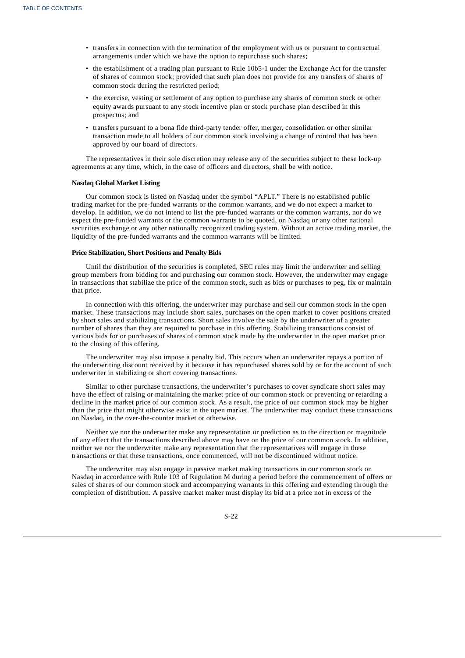- transfers in connection with the termination of the employment with us or pursuant to contractual arrangements under which we have the option to repurchase such shares;
- the establishment of a trading plan pursuant to Rule 10b5-1 under the Exchange Act for the transfer of shares of common stock; provided that such plan does not provide for any transfers of shares of common stock during the restricted period;
- the exercise, vesting or settlement of any option to purchase any shares of common stock or other equity awards pursuant to any stock incentive plan or stock purchase plan described in this prospectus; and
- transfers pursuant to a bona fide third-party tender offer, merger, consolidation or other similar transaction made to all holders of our common stock involving a change of control that has been approved by our board of directors.

The representatives in their sole discretion may release any of the securities subject to these lock-up agreements at any time, which, in the case of officers and directors, shall be with notice.

### **Nasdaq Global Market Listing**

Our common stock is listed on Nasdaq under the symbol "APLT." There is no established public trading market for the pre-funded warrants or the common warrants, and we do not expect a market to develop. In addition, we do not intend to list the pre-funded warrants or the common warrants, nor do we expect the pre-funded warrants or the common warrants to be quoted, on Nasdaq or any other national securities exchange or any other nationally recognized trading system. Without an active trading market, the liquidity of the pre-funded warrants and the common warrants will be limited.

### **Price Stabilization, Short Positions and Penalty Bids**

Until the distribution of the securities is completed, SEC rules may limit the underwriter and selling group members from bidding for and purchasing our common stock. However, the underwriter may engage in transactions that stabilize the price of the common stock, such as bids or purchases to peg, fix or maintain that price.

In connection with this offering, the underwriter may purchase and sell our common stock in the open market. These transactions may include short sales, purchases on the open market to cover positions created by short sales and stabilizing transactions. Short sales involve the sale by the underwriter of a greater number of shares than they are required to purchase in this offering. Stabilizing transactions consist of various bids for or purchases of shares of common stock made by the underwriter in the open market prior to the closing of this offering.

The underwriter may also impose a penalty bid. This occurs when an underwriter repays a portion of the underwriting discount received by it because it has repurchased shares sold by or for the account of such underwriter in stabilizing or short covering transactions.

Similar to other purchase transactions, the underwriter's purchases to cover syndicate short sales may have the effect of raising or maintaining the market price of our common stock or preventing or retarding a decline in the market price of our common stock. As a result, the price of our common stock may be higher than the price that might otherwise exist in the open market. The underwriter may conduct these transactions on Nasdaq, in the over-the-counter market or otherwise.

Neither we nor the underwriter make any representation or prediction as to the direction or magnitude of any effect that the transactions described above may have on the price of our common stock. In addition, neither we nor the underwriter make any representation that the representatives will engage in these transactions or that these transactions, once commenced, will not be discontinued without notice.

The underwriter may also engage in passive market making transactions in our common stock on Nasdaq in accordance with Rule 103 of Regulation M during a period before the commencement of offers or sales of shares of our common stock and accompanying warrants in this offering and extending through the completion of distribution. A passive market maker must display its bid at a price not in excess of the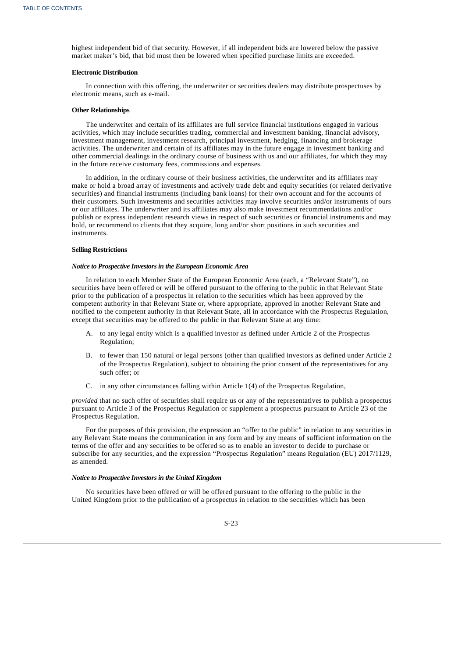highest independent bid of that security. However, if all independent bids are lowered below the passive market maker's bid, that bid must then be lowered when specified purchase limits are exceeded.

### **Electronic Distribution**

In connection with this offering, the underwriter or securities dealers may distribute prospectuses by electronic means, such as e-mail.

### **Other Relationships**

The underwriter and certain of its affiliates are full service financial institutions engaged in various activities, which may include securities trading, commercial and investment banking, financial advisory, investment management, investment research, principal investment, hedging, financing and brokerage activities. The underwriter and certain of its affiliates may in the future engage in investment banking and other commercial dealings in the ordinary course of business with us and our affiliates, for which they may in the future receive customary fees, commissions and expenses.

In addition, in the ordinary course of their business activities, the underwriter and its affiliates may make or hold a broad array of investments and actively trade debt and equity securities (or related derivative securities) and financial instruments (including bank loans) for their own account and for the accounts of their customers. Such investments and securities activities may involve securities and/or instruments of ours or our affiliates. The underwriter and its affiliates may also make investment recommendations and/or publish or express independent research views in respect of such securities or financial instruments and may hold, or recommend to clients that they acquire, long and/or short positions in such securities and instruments.

#### **Selling Restrictions**

#### *Notice to Prospective Investors in the European Economic Area*

In relation to each Member State of the European Economic Area (each, a "Relevant State"), no securities have been offered or will be offered pursuant to the offering to the public in that Relevant State prior to the publication of a prospectus in relation to the securities which has been approved by the competent authority in that Relevant State or, where appropriate, approved in another Relevant State and notified to the competent authority in that Relevant State, all in accordance with the Prospectus Regulation, except that securities may be offered to the public in that Relevant State at any time:

- A. to any legal entity which is a qualified investor as defined under Article 2 of the Prospectus Regulation;
- B. to fewer than 150 natural or legal persons (other than qualified investors as defined under Article 2 of the Prospectus Regulation), subject to obtaining the prior consent of the representatives for any such offer; or
- C. in any other circumstances falling within Article 1(4) of the Prospectus Regulation,

*provided* that no such offer of securities shall require us or any of the representatives to publish a prospectus pursuant to Article 3 of the Prospectus Regulation or supplement a prospectus pursuant to Article 23 of the Prospectus Regulation.

For the purposes of this provision, the expression an "offer to the public" in relation to any securities in any Relevant State means the communication in any form and by any means of sufficient information on the terms of the offer and any securities to be offered so as to enable an investor to decide to purchase or subscribe for any securities, and the expression "Prospectus Regulation" means Regulation (EU) 2017/1129, as amended.

#### *Notice to Prospective Investors in the United Kingdom*

No securities have been offered or will be offered pursuant to the offering to the public in the United Kingdom prior to the publication of a prospectus in relation to the securities which has been

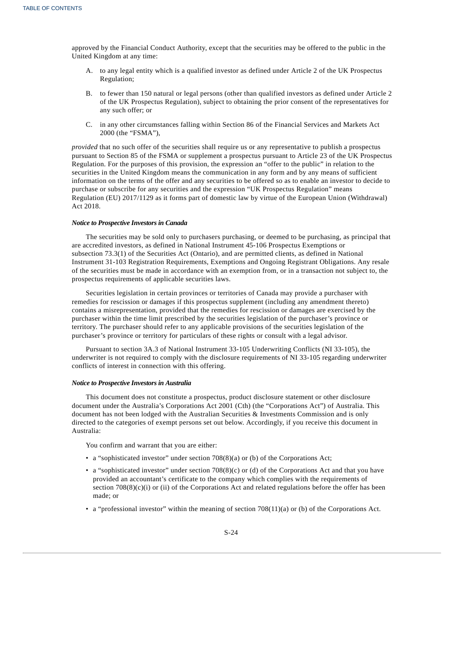approved by the Financial Conduct Authority, except that the securities may be offered to the public in the United Kingdom at any time:

- A. to any legal entity which is a qualified investor as defined under Article 2 of the UK Prospectus Regulation;
- B. to fewer than 150 natural or legal persons (other than qualified investors as defined under Article 2 of the UK Prospectus Regulation), subject to obtaining the prior consent of the representatives for any such offer; or
- C. in any other circumstances falling within Section 86 of the Financial Services and Markets Act 2000 (the "FSMA"),

*provided* that no such offer of the securities shall require us or any representative to publish a prospectus pursuant to Section 85 of the FSMA or supplement a prospectus pursuant to Article 23 of the UK Prospectus Regulation. For the purposes of this provision, the expression an "offer to the public" in relation to the securities in the United Kingdom means the communication in any form and by any means of sufficient information on the terms of the offer and any securities to be offered so as to enable an investor to decide to purchase or subscribe for any securities and the expression "UK Prospectus Regulation" means Regulation (EU) 2017/1129 as it forms part of domestic law by virtue of the European Union (Withdrawal) Act 2018.

#### *Notice to Prospective Investors in Canada*

The securities may be sold only to purchasers purchasing, or deemed to be purchasing, as principal that are accredited investors, as defined in National Instrument 45-106 Prospectus Exemptions or subsection 73.3(1) of the Securities Act (Ontario), and are permitted clients, as defined in National Instrument 31-103 Registration Requirements, Exemptions and Ongoing Registrant Obligations. Any resale of the securities must be made in accordance with an exemption from, or in a transaction not subject to, the prospectus requirements of applicable securities laws.

Securities legislation in certain provinces or territories of Canada may provide a purchaser with remedies for rescission or damages if this prospectus supplement (including any amendment thereto) contains a misrepresentation, provided that the remedies for rescission or damages are exercised by the purchaser within the time limit prescribed by the securities legislation of the purchaser's province or territory. The purchaser should refer to any applicable provisions of the securities legislation of the purchaser's province or territory for particulars of these rights or consult with a legal advisor.

Pursuant to section 3A.3 of National Instrument 33-105 Underwriting Conflicts (NI 33-105), the underwriter is not required to comply with the disclosure requirements of NI 33-105 regarding underwriter conflicts of interest in connection with this offering.

#### *Notice to Prospective Investors in Australia*

This document does not constitute a prospectus, product disclosure statement or other disclosure document under the Australia's Corporations Act 2001 (Cth) (the "Corporations Act") of Australia. This document has not been lodged with the Australian Securities & Investments Commission and is only directed to the categories of exempt persons set out below. Accordingly, if you receive this document in Australia:

You confirm and warrant that you are either:

- a "sophisticated investor" under section 708(8)(a) or (b) of the Corporations Act;
- a "sophisticated investor" under section 708(8)(c) or (d) of the Corporations Act and that you have provided an accountant's certificate to the company which complies with the requirements of section  $708(8)(c)(i)$  or (ii) of the Corporations Act and related regulations before the offer has been made; or
- a "professional investor" within the meaning of section 708(11)(a) or (b) of the Corporations Act.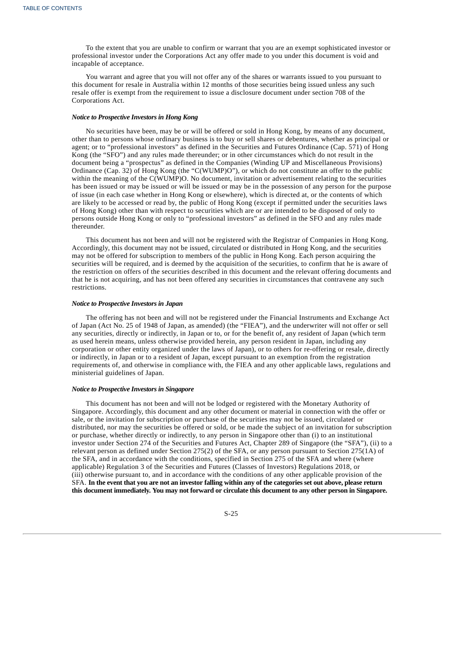To the extent that you are unable to confirm or warrant that you are an exempt sophisticated investor or professional investor under the Corporations Act any offer made to you under this document is void and incapable of acceptance.

You warrant and agree that you will not offer any of the shares or warrants issued to you pursuant to this document for resale in Australia within 12 months of those securities being issued unless any such resale offer is exempt from the requirement to issue a disclosure document under section 708 of the Corporations Act.

#### *Notice to Prospective Investors in Hong Kong*

No securities have been, may be or will be offered or sold in Hong Kong, by means of any document, other than to persons whose ordinary business is to buy or sell shares or debentures, whether as principal or agent; or to "professional investors" as defined in the Securities and Futures Ordinance (Cap. 571) of Hong Kong (the "SFO") and any rules made thereunder; or in other circumstances which do not result in the document being a "prospectus" as defined in the Companies (Winding UP and Miscellaneous Provisions) Ordinance (Cap. 32) of Hong Kong (the "C(WUMP)O"), or which do not constitute an offer to the public within the meaning of the C(WUMP)O. No document, invitation or advertisement relating to the securities has been issued or may be issued or will be issued or may be in the possession of any person for the purpose of issue (in each case whether in Hong Kong or elsewhere), which is directed at, or the contents of which are likely to be accessed or read by, the public of Hong Kong (except if permitted under the securities laws of Hong Kong) other than with respect to securities which are or are intended to be disposed of only to persons outside Hong Kong or only to "professional investors" as defined in the SFO and any rules made thereunder.

This document has not been and will not be registered with the Registrar of Companies in Hong Kong. Accordingly, this document may not be issued, circulated or distributed in Hong Kong, and the securities may not be offered for subscription to members of the public in Hong Kong. Each person acquiring the securities will be required, and is deemed by the acquisition of the securities, to confirm that he is aware of the restriction on offers of the securities described in this document and the relevant offering documents and that he is not acquiring, and has not been offered any securities in circumstances that contravene any such restrictions.

#### *Notice to Prospective Investors in Japan*

The offering has not been and will not be registered under the Financial Instruments and Exchange Act of Japan (Act No. 25 of 1948 of Japan, as amended) (the "FIEA"), and the underwriter will not offer or sell any securities, directly or indirectly, in Japan or to, or for the benefit of, any resident of Japan (which term as used herein means, unless otherwise provided herein, any person resident in Japan, including any corporation or other entity organized under the laws of Japan), or to others for re-offering or resale, directly or indirectly, in Japan or to a resident of Japan, except pursuant to an exemption from the registration requirements of, and otherwise in compliance with, the FIEA and any other applicable laws, regulations and ministerial guidelines of Japan.

#### *Notice to Prospective Investors in Singapore*

This document has not been and will not be lodged or registered with the Monetary Authority of Singapore. Accordingly, this document and any other document or material in connection with the offer or sale, or the invitation for subscription or purchase of the securities may not be issued, circulated or distributed, nor may the securities be offered or sold, or be made the subject of an invitation for subscription or purchase, whether directly or indirectly, to any person in Singapore other than (i) to an institutional investor under Section 274 of the Securities and Futures Act, Chapter 289 of Singapore (the "SFA"), (ii) to a relevant person as defined under Section 275(2) of the SFA, or any person pursuant to Section 275(1A) of the SFA, and in accordance with the conditions, specified in Section 275 of the SFA and where (where applicable) Regulation 3 of the Securities and Futures (Classes of Investors) Regulations 2018, or (iii) otherwise pursuant to, and in accordance with the conditions of any other applicable provision of the SFA. In the event that you are not an investor falling within any of the categories set out above, please return this document immediately. You may not forward or circulate this document to any other person in Singapore.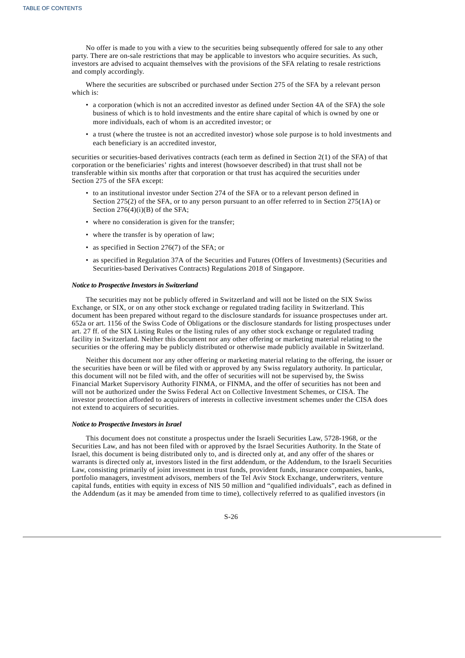No offer is made to you with a view to the securities being subsequently offered for sale to any other party. There are on-sale restrictions that may be applicable to investors who acquire securities. As such, investors are advised to acquaint themselves with the provisions of the SFA relating to resale restrictions and comply accordingly.

Where the securities are subscribed or purchased under Section 275 of the SFA by a relevant person which is:

- a corporation (which is not an accredited investor as defined under Section 4A of the SFA) the sole business of which is to hold investments and the entire share capital of which is owned by one or more individuals, each of whom is an accredited investor; or
- a trust (where the trustee is not an accredited investor) whose sole purpose is to hold investments and each beneficiary is an accredited investor,

securities or securities-based derivatives contracts (each term as defined in Section 2(1) of the SFA) of that corporation or the beneficiaries' rights and interest (howsoever described) in that trust shall not be transferable within six months after that corporation or that trust has acquired the securities under Section 275 of the SFA except:

- to an institutional investor under Section 274 of the SFA or to a relevant person defined in Section 275(2) of the SFA, or to any person pursuant to an offer referred to in Section 275(1A) or Section 276(4)(i)(B) of the SFA;
- where no consideration is given for the transfer;
- where the transfer is by operation of law;
- as specified in Section 276(7) of the SFA; or
- as specified in Regulation 37A of the Securities and Futures (Offers of Investments) (Securities and Securities-based Derivatives Contracts) Regulations 2018 of Singapore.

### *Notice to Prospective Investors in Switzerland*

The securities may not be publicly offered in Switzerland and will not be listed on the SIX Swiss Exchange, or SIX, or on any other stock exchange or regulated trading facility in Switzerland. This document has been prepared without regard to the disclosure standards for issuance prospectuses under art. 652a or art. 1156 of the Swiss Code of Obligations or the disclosure standards for listing prospectuses under art. 27 ff. of the SIX Listing Rules or the listing rules of any other stock exchange or regulated trading facility in Switzerland. Neither this document nor any other offering or marketing material relating to the securities or the offering may be publicly distributed or otherwise made publicly available in Switzerland.

Neither this document nor any other offering or marketing material relating to the offering, the issuer or the securities have been or will be filed with or approved by any Swiss regulatory authority. In particular, this document will not be filed with, and the offer of securities will not be supervised by, the Swiss Financial Market Supervisory Authority FINMA, or FINMA, and the offer of securities has not been and will not be authorized under the Swiss Federal Act on Collective Investment Schemes, or CISA. The investor protection afforded to acquirers of interests in collective investment schemes under the CISA does not extend to acquirers of securities.

#### *Notice to Prospective Investors in Israel*

<span id="page-27-0"></span>This document does not constitute a prospectus under the Israeli Securities Law, 5728-1968, or the Securities Law, and has not been filed with or approved by the Israel Securities Authority. In the State of Israel, this document is being distributed only to, and is directed only at, and any offer of the shares or warrants is directed only at, investors listed in the first addendum, or the Addendum, to the Israeli Securities Law, consisting primarily of joint investment in trust funds, provident funds, insurance companies, banks, portfolio managers, investment advisors, members of the Tel Aviv Stock Exchange, underwriters, venture capital funds, entities with equity in excess of NIS 50 million and "qualified individuals", each as defined in the Addendum (as it may be amended from time to time), collectively referred to as qualified investors (in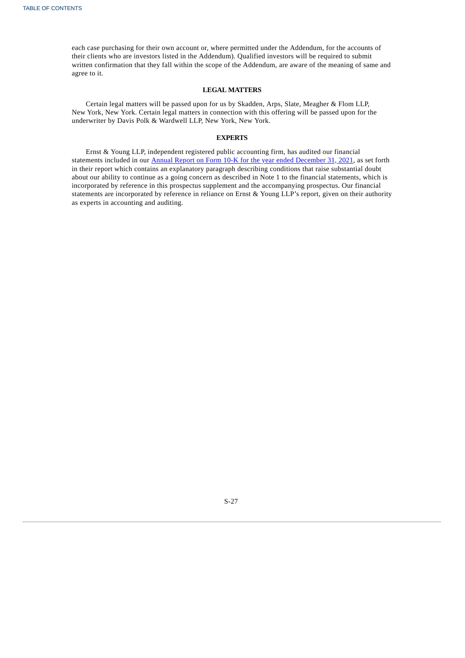each case purchasing for their own account or, where permitted under the Addendum, for the accounts of their clients who are investors listed in the Addendum). Qualified investors will be required to submit written confirmation that they fall within the scope of the Addendum, are aware of the meaning of same and agree to it.

### **LEGAL MATTERS**

Certain legal matters will be passed upon for us by Skadden, Arps, Slate, Meagher & Flom LLP, New York, New York. Certain legal matters in connection with this offering will be passed upon for the underwriter by Davis Polk & Wardwell LLP, New York, New York.

### **EXPERTS**

Ernst & Young LLP, independent registered public accounting firm, has audited our financial statements included in our Annual Report on Form 10-K for the year ended [December](https://www.sec.gov/ix?doc=/Archives/edgar/data/1697532/000155837022003206/aplt-20211231x10k.htm) 31, 2021, as set forth in their report which contains an explanatory paragraph describing conditions that raise substantial doubt about our ability to continue as a going concern as described in Note 1 to the financial statements, which is incorporated by reference in this prospectus supplement and the accompanying prospectus. Our financial statements are incorporated by reference in reliance on Ernst & Young LLP's report, given on their authority as experts in accounting and auditing.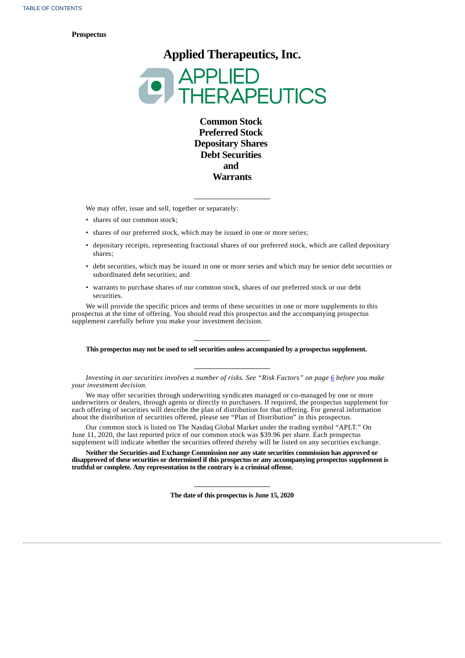#### **Prospectus**

**Applied Therapeutics, Inc.**



**Common Stock Preferred Stock Depositary Shares Debt Securities and Warrants**

We may offer, issue and sell, together or separately:

- shares of our common stock;
- shares of our preferred stock, which may be issued in one or more series;
- depositary receipts, representing fractional shares of our preferred stock, which are called depositary shares;
- debt securities, which may be issued in one or more series and which may be senior debt securities or subordinated debt securities; and
- warrants to purchase shares of our common stock, shares of our preferred stock or our debt securities.

We will provide the specific prices and terms of these securities in one or more supplements to this prospectus at the time of offering. You should read this prospectus and the accompanying prospectus supplement carefully before you make your investment decision.

### **This prospectus may not be used to sell securities unless accompanied by a prospectus supplement.**

Investing in our securities involves a number of risks. See "Risk Factors" on page [6](#page-35-0) before you make *your investment decision.*

We may offer securities through underwriting syndicates managed or co-managed by one or more underwriters or dealers, through agents or directly to purchasers. If required, the prospectus supplement for each offering of securities will describe the plan of distribution for that offering. For general information about the distribution of securities offered, please see "Plan of Distribution" in this prospectus.

Our common stock is listed on The Nasdaq Global Market under the trading symbol "APLT." On June 11, 2020, the last reported price of our common stock was \$39.96 per share. Each prospectus supplement will indicate whether the securities offered thereby will be listed on any securities exchange.

**Neither the Securities and Exchange Commission nor any state securities commission has approved or disapproved of these securities or determined if this prospectus or any accompanying prospectus supplement is truthful or complete. Any representation to the contrary is a criminal offense.**

**The date of this prospectus is June 15, 2020**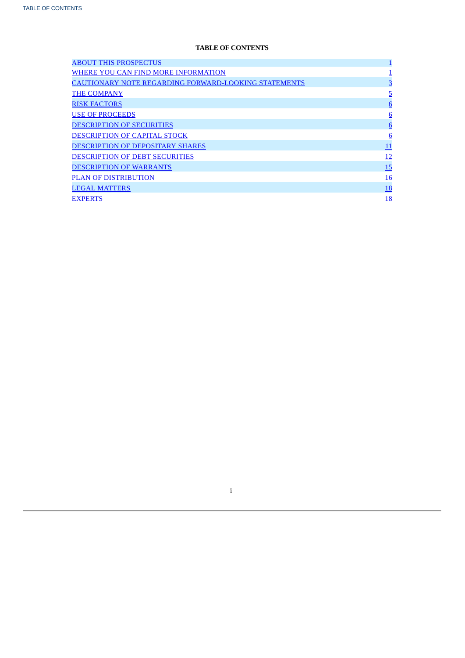# **TABLE OF CONTENTS**

| <b>ABOUT THIS PROSPECTUS</b>                                |                 |
|-------------------------------------------------------------|-----------------|
| WHERE YOU CAN FIND MORE INFORMATION                         |                 |
| <b>CAUTIONARY NOTE REGARDING FORWARD-LOOKING STATEMENTS</b> | $\overline{3}$  |
| <b>THE COMPANY</b>                                          | <u>5</u>        |
| <b>RISK FACTORS</b>                                         | $6\overline{6}$ |
| <b>USE OF PROCEEDS</b>                                      | $6\overline{6}$ |
| <b>DESCRIPTION OF SECURITIES</b>                            | $6\overline{6}$ |
| DESCRIPTION OF CAPITAL STOCK                                | $6\overline{6}$ |
| <b>DESCRIPTION OF DEPOSITARY SHARES</b>                     | 11              |
| <b>DESCRIPTION OF DEBT SECURITIES</b>                       | 12              |
| <b>DESCRIPTION OF WARRANTS</b>                              | <u>15</u>       |
| <b>PLAN OF DISTRIBUTION</b>                                 | <u> 16</u>      |
| <b>LEGAL MATTERS</b>                                        | <b>18</b>       |
| <b>EXPERTS</b>                                              | 18              |

<span id="page-30-0"></span>i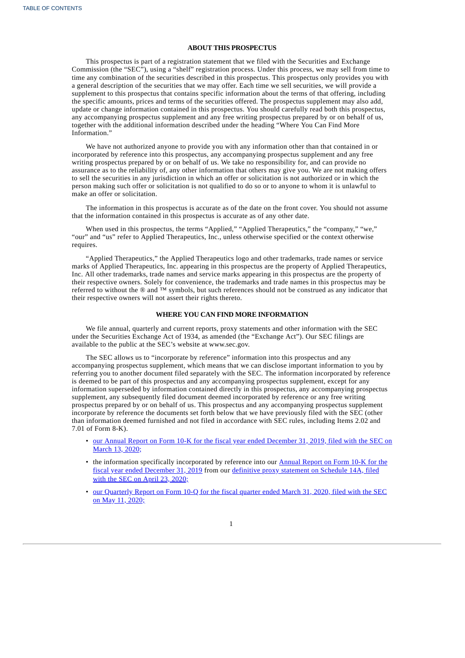### **ABOUT THIS PROSPECTUS**

This prospectus is part of a registration statement that we filed with the Securities and Exchange Commission (the "SEC"), using a "shelf" registration process. Under this process, we may sell from time to time any combination of the securities described in this prospectus. This prospectus only provides you with a general description of the securities that we may offer. Each time we sell securities, we will provide a supplement to this prospectus that contains specific information about the terms of that offering, including the specific amounts, prices and terms of the securities offered. The prospectus supplement may also add, update or change information contained in this prospectus. You should carefully read both this prospectus, any accompanying prospectus supplement and any free writing prospectus prepared by or on behalf of us, together with the additional information described under the heading "Where You Can Find More Information."

We have not authorized anyone to provide you with any information other than that contained in or incorporated by reference into this prospectus, any accompanying prospectus supplement and any free writing prospectus prepared by or on behalf of us. We take no responsibility for, and can provide no assurance as to the reliability of, any other information that others may give you. We are not making offers to sell the securities in any jurisdiction in which an offer or solicitation is not authorized or in which the person making such offer or solicitation is not qualified to do so or to anyone to whom it is unlawful to make an offer or solicitation.

The information in this prospectus is accurate as of the date on the front cover. You should not assume that the information contained in this prospectus is accurate as of any other date.

When used in this prospectus, the terms "Applied," "Applied Therapeutics," the "company," "we," "our" and "us" refer to Applied Therapeutics, Inc., unless otherwise specified or the context otherwise requires.

"Applied Therapeutics," the Applied Therapeutics logo and other trademarks, trade names or service marks of Applied Therapeutics, Inc. appearing in this prospectus are the property of Applied Therapeutics, Inc. All other trademarks, trade names and service marks appearing in this prospectus are the property of their respective owners. Solely for convenience, the trademarks and trade names in this prospectus may be referred to without the ® and ™ symbols, but such references should not be construed as any indicator that their respective owners will not assert their rights thereto.

### **WHERE YOU CAN FIND MORE INFORMATION**

We file annual, quarterly and current reports, proxy statements and other information with the SEC under the Securities Exchange Act of 1934, as amended (the "Exchange Act"). Our SEC filings are available to the public at the SEC's website at www.sec.gov.

The SEC allows us to "incorporate by reference" information into this prospectus and any accompanying prospectus supplement, which means that we can disclose important information to you by referring you to another document filed separately with the SEC. The information incorporated by reference is deemed to be part of this prospectus and any accompanying prospectus supplement, except for any information superseded by information contained directly in this prospectus, any accompanying prospectus supplement, any subsequently filed document deemed incorporated by reference or any free writing prospectus prepared by or on behalf of us. This prospectus and any accompanying prospectus supplement incorporate by reference the documents set forth below that we have previously filed with the SEC (other than information deemed furnished and not filed in accordance with SEC rules, including Items 2.02 and 7.01 of Form 8-K).

- our Annual Report on Form 10-K for the fiscal year ended [December](http://www.sec.gov/Archives/edgar/data/1697532/000155837020002630/aplt-20191231x10k.htm) 31, 2019, filed with the SEC on March 13, 2020;
- the information specifically [incorporated](http://www.sec.gov/Archives/edgar/data/1697532/000155837020002630/aplt-20191231x10k.htm) by reference into our **Annual Report on Form 10-K** for the fiscal year ended [December](http://www.sec.gov/Archives/edgar/data/1697532/000114036120009524/nc10011110x1_def14a.htm) 31, 2019 from our definitive proxy statement on Schedule 14A, filed with the SEC on April 23, 2020;
- our [Quarterly](http://www.sec.gov/Archives/edgar/data/1697532/000155837020006110/aplt-20200331x10q.htm) Report on Form 10-Q for the fiscal quarter ended March 31, 2020, filed with the SEC on May 11, 2020;

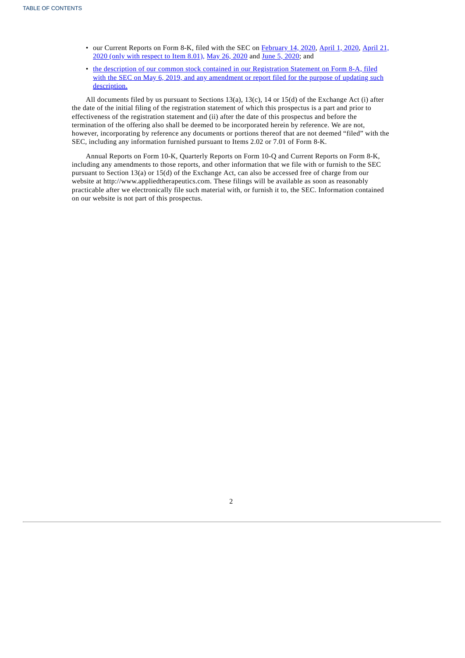- our Current Reports on Form 8-K, filed with the SEC on [February](http://www.sec.gov/Archives/edgar/data/1697532/000110465920049003/tm2016464-1_8k.htm) 14, 2020, [April](http://www.sec.gov/Archives/edgar/data/1697532/000110465920041936/tm2014735-1_8k.htm) 1, 2020, April 21, 2020 (only with respect to Item 8.01), May 26, [2020](http://www.sec.gov/Archives/edgar/data/1697532/000110465920065642/tm2020860-1_8k.htm) and June 5, [2020;](https://www.sec.gov/Archives/edgar/data/1697532/000110465920070364/tm2021693d3_8k.htm) and
- the description of our common stock contained in our [Registration](http://www.sec.gov/Archives/edgar/data/1697532/000110465919027141/a19-3209_78a12b.htm) Statement on Form 8-A, filed with the SEC on May 6, 2019, and any amendment or report filed for the purpose of updating such description.

All documents filed by us pursuant to Sections 13(a), 13(c), 14 or 15(d) of the Exchange Act (i) after the date of the initial filing of the registration statement of which this prospectus is a part and prior to effectiveness of the registration statement and (ii) after the date of this prospectus and before the termination of the offering also shall be deemed to be incorporated herein by reference. We are not, however, incorporating by reference any documents or portions thereof that are not deemed "filed" with the SEC, including any information furnished pursuant to Items 2.02 or 7.01 of Form 8-K.

<span id="page-32-0"></span>Annual Reports on Form 10-K, Quarterly Reports on Form 10-Q and Current Reports on Form 8-K, including any amendments to those reports, and other information that we file with or furnish to the SEC pursuant to Section 13(a) or 15(d) of the Exchange Act, can also be accessed free of charge from our website at http://www.appliedtherapeutics.com. These filings will be available as soon as reasonably practicable after we electronically file such material with, or furnish it to, the SEC. Information contained on our website is not part of this prospectus.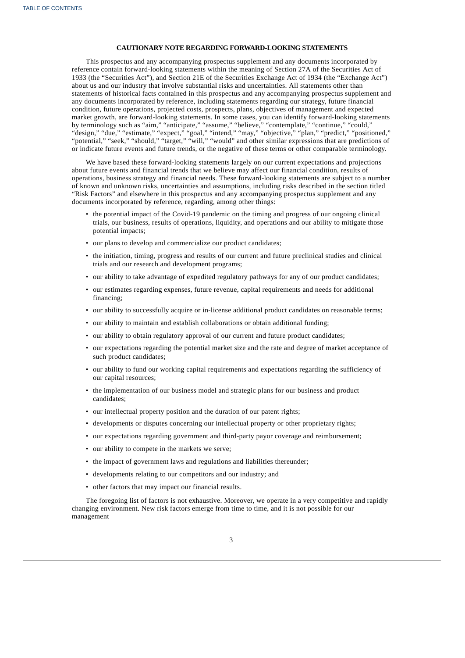### **CAUTIONARY NOTE REGARDING FORWARD-LOOKING STATEMENTS**

This prospectus and any accompanying prospectus supplement and any documents incorporated by reference contain forward-looking statements within the meaning of Section 27A of the Securities Act of 1933 (the "Securities Act"), and Section 21E of the Securities Exchange Act of 1934 (the "Exchange Act") about us and our industry that involve substantial risks and uncertainties. All statements other than statements of historical facts contained in this prospectus and any accompanying prospectus supplement and any documents incorporated by reference, including statements regarding our strategy, future financial condition, future operations, projected costs, prospects, plans, objectives of management and expected market growth, are forward-looking statements. In some cases, you can identify forward-looking statements by terminology such as "aim," "anticipate," "assume," "believe," "contemplate," "continue," "could," "design," "due," "estimate," "expect," "goal," "intend," "may," "objective," "plan," "predict," "positioned," "potential," "seek," "should," "target," "will," "would" and other similar expressions that are predictions of or indicate future events and future trends, or the negative of these terms or other comparable terminology.

We have based these forward-looking statements largely on our current expectations and projections about future events and financial trends that we believe may affect our financial condition, results of operations, business strategy and financial needs. These forward-looking statements are subject to a number of known and unknown risks, uncertainties and assumptions, including risks described in the section titled "Risk Factors" and elsewhere in this prospectus and any accompanying prospectus supplement and any documents incorporated by reference, regarding, among other things:

- the potential impact of the Covid-19 pandemic on the timing and progress of our ongoing clinical trials, our business, results of operations, liquidity, and operations and our ability to mitigate those potential impacts;
- our plans to develop and commercialize our product candidates;
- the initiation, timing, progress and results of our current and future preclinical studies and clinical trials and our research and development programs;
- our ability to take advantage of expedited regulatory pathways for any of our product candidates;
- our estimates regarding expenses, future revenue, capital requirements and needs for additional financing;
- our ability to successfully acquire or in-license additional product candidates on reasonable terms;
- our ability to maintain and establish collaborations or obtain additional funding;
- our ability to obtain regulatory approval of our current and future product candidates;
- our expectations regarding the potential market size and the rate and degree of market acceptance of such product candidates;
- our ability to fund our working capital requirements and expectations regarding the sufficiency of our capital resources;
- the implementation of our business model and strategic plans for our business and product candidates;
- our intellectual property position and the duration of our patent rights;
- developments or disputes concerning our intellectual property or other proprietary rights;
- our expectations regarding government and third-party payor coverage and reimbursement;
- our ability to compete in the markets we serve;
- the impact of government laws and regulations and liabilities thereunder;
- developments relating to our competitors and our industry; and
- other factors that may impact our financial results.

The foregoing list of factors is not exhaustive. Moreover, we operate in a very competitive and rapidly changing environment. New risk factors emerge from time to time, and it is not possible for our management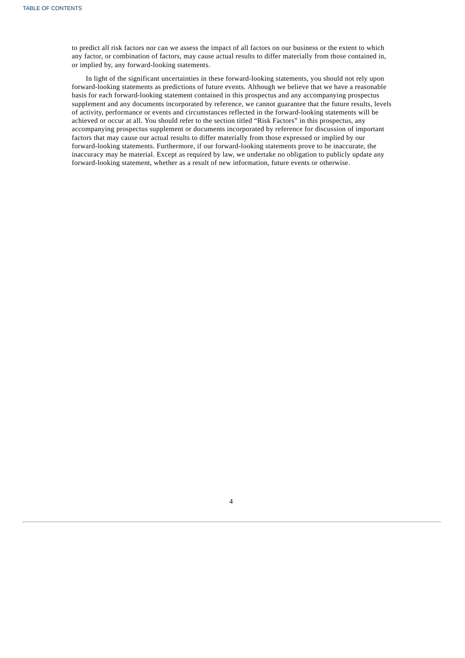to predict all risk factors nor can we assess the impact of all factors on our business or the extent to which any factor, or combination of factors, may cause actual results to differ materially from those contained in, or implied by, any forward-looking statements.

<span id="page-34-0"></span>In light of the significant uncertainties in these forward-looking statements, you should not rely upon forward-looking statements as predictions of future events. Although we believe that we have a reasonable basis for each forward-looking statement contained in this prospectus and any accompanying prospectus supplement and any documents incorporated by reference, we cannot guarantee that the future results, levels of activity, performance or events and circumstances reflected in the forward-looking statements will be achieved or occur at all. You should refer to the section titled "Risk Factors" in this prospectus, any accompanying prospectus supplement or documents incorporated by reference for discussion of important factors that may cause our actual results to differ materially from those expressed or implied by our forward-looking statements. Furthermore, if our forward-looking statements prove to be inaccurate, the inaccuracy may be material. Except as required by law, we undertake no obligation to publicly update any forward-looking statement, whether as a result of new information, future events or otherwise.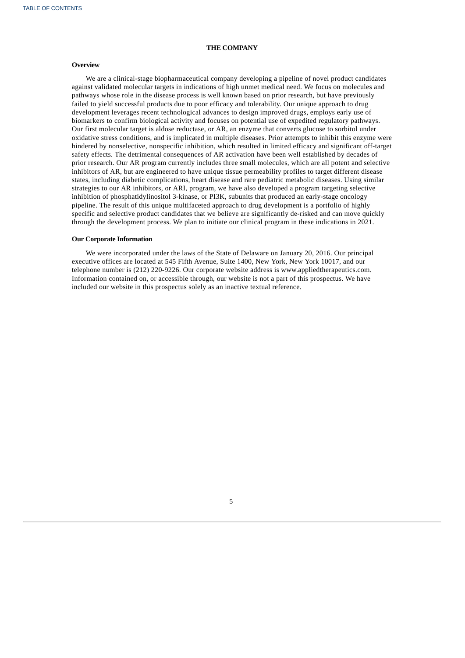### **THE COMPANY**

### **Overview**

We are a clinical-stage biopharmaceutical company developing a pipeline of novel product candidates against validated molecular targets in indications of high unmet medical need. We focus on molecules and pathways whose role in the disease process is well known based on prior research, but have previously failed to yield successful products due to poor efficacy and tolerability. Our unique approach to drug development leverages recent technological advances to design improved drugs, employs early use of biomarkers to confirm biological activity and focuses on potential use of expedited regulatory pathways. Our first molecular target is aldose reductase, or AR, an enzyme that converts glucose to sorbitol under oxidative stress conditions, and is implicated in multiple diseases. Prior attempts to inhibit this enzyme were hindered by nonselective, nonspecific inhibition, which resulted in limited efficacy and significant off-target safety effects. The detrimental consequences of AR activation have been well established by decades of prior research. Our AR program currently includes three small molecules, which are all potent and selective inhibitors of AR, but are engineered to have unique tissue permeability profiles to target different disease states, including diabetic complications, heart disease and rare pediatric metabolic diseases. Using similar strategies to our AR inhibitors, or ARI, program, we have also developed a program targeting selective inhibition of phosphatidylinositol 3-kinase, or PI3K, subunits that produced an early-stage oncology pipeline. The result of this unique multifaceted approach to drug development is a portfolio of highly specific and selective product candidates that we believe are significantly de-risked and can move quickly through the development process. We plan to initiate our clinical program in these indications in 2021.

### **Our Corporate Information**

<span id="page-35-0"></span>We were incorporated under the laws of the State of Delaware on January 20, 2016. Our principal executive offices are located at 545 Fifth Avenue, Suite 1400, New York, New York 10017, and our telephone number is (212) 220-9226. Our corporate website address is www.appliedtherapeutics.com. Information contained on, or accessible through, our website is not a part of this prospectus. We have included our website in this prospectus solely as an inactive textual reference.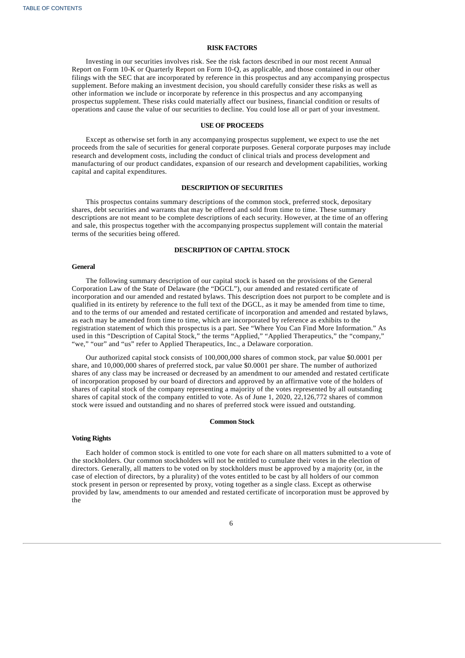### **RISK FACTORS**

Investing in our securities involves risk. See the risk factors described in our most recent Annual Report on Form 10-K or Quarterly Report on Form 10-Q, as applicable, and those contained in our other filings with the SEC that are incorporated by reference in this prospectus and any accompanying prospectus supplement. Before making an investment decision, you should carefully consider these risks as well as other information we include or incorporate by reference in this prospectus and any accompanying prospectus supplement. These risks could materially affect our business, financial condition or results of operations and cause the value of our securities to decline. You could lose all or part of your investment.

#### **USE OF PROCEEDS**

Except as otherwise set forth in any accompanying prospectus supplement, we expect to use the net proceeds from the sale of securities for general corporate purposes. General corporate purposes may include research and development costs, including the conduct of clinical trials and process development and manufacturing of our product candidates, expansion of our research and development capabilities, working capital and capital expenditures.

### **DESCRIPTION OF SECURITIES**

This prospectus contains summary descriptions of the common stock, preferred stock, depositary shares, debt securities and warrants that may be offered and sold from time to time. These summary descriptions are not meant to be complete descriptions of each security. However, at the time of an offering and sale, this prospectus together with the accompanying prospectus supplement will contain the material terms of the securities being offered.

### **DESCRIPTION OF CAPITAL STOCK**

#### **General**

The following summary description of our capital stock is based on the provisions of the General Corporation Law of the State of Delaware (the "DGCL"), our amended and restated certificate of incorporation and our amended and restated bylaws. This description does not purport to be complete and is qualified in its entirety by reference to the full text of the DGCL, as it may be amended from time to time, and to the terms of our amended and restated certificate of incorporation and amended and restated bylaws, as each may be amended from time to time, which are incorporated by reference as exhibits to the registration statement of which this prospectus is a part. See "Where You Can Find More Information." As used in this "Description of Capital Stock," the terms "Applied," "Applied Therapeutics," the "company," "we," "our" and "us" refer to Applied Therapeutics, Inc., a Delaware corporation.

Our authorized capital stock consists of 100,000,000 shares of common stock, par value \$0.0001 per share, and 10,000,000 shares of preferred stock, par value \$0.0001 per share. The number of authorized shares of any class may be increased or decreased by an amendment to our amended and restated certificate of incorporation proposed by our board of directors and approved by an affirmative vote of the holders of shares of capital stock of the company representing a majority of the votes represented by all outstanding shares of capital stock of the company entitled to vote. As of June 1, 2020, 22,126,772 shares of common stock were issued and outstanding and no shares of preferred stock were issued and outstanding.

#### **Common Stock**

#### **Voting Rights**

Each holder of common stock is entitled to one vote for each share on all matters submitted to a vote of the stockholders. Our common stockholders will not be entitled to cumulate their votes in the election of directors. Generally, all matters to be voted on by stockholders must be approved by a majority (or, in the case of election of directors, by a plurality) of the votes entitled to be cast by all holders of our common stock present in person or represented by proxy, voting together as a single class. Except as otherwise provided by law, amendments to our amended and restated certificate of incorporation must be approved by the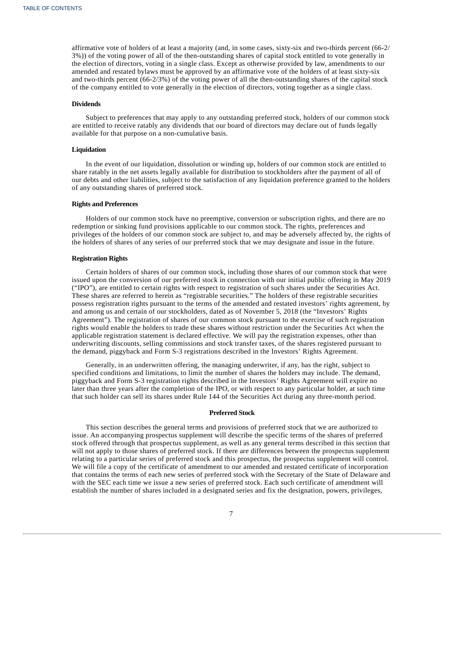affirmative vote of holders of at least a majority (and, in some cases, sixty-six and two-thirds percent (66-2/ 3%)) of the voting power of all of the then-outstanding shares of capital stock entitled to vote generally in the election of directors, voting in a single class. Except as otherwise provided by law, amendments to our amended and restated bylaws must be approved by an affirmative vote of the holders of at least sixty-six and two-thirds percent (66-2/3%) of the voting power of all the then-outstanding shares of the capital stock of the company entitled to vote generally in the election of directors, voting together as a single class.

#### **Dividends**

Subject to preferences that may apply to any outstanding preferred stock, holders of our common stock are entitled to receive ratably any dividends that our board of directors may declare out of funds legally available for that purpose on a non-cumulative basis.

#### **Liquidation**

In the event of our liquidation, dissolution or winding up, holders of our common stock are entitled to share ratably in the net assets legally available for distribution to stockholders after the payment of all of our debts and other liabilities, subject to the satisfaction of any liquidation preference granted to the holders of any outstanding shares of preferred stock.

### **Rights and Preferences**

Holders of our common stock have no preemptive, conversion or subscription rights, and there are no redemption or sinking fund provisions applicable to our common stock. The rights, preferences and privileges of the holders of our common stock are subject to, and may be adversely affected by, the rights of the holders of shares of any series of our preferred stock that we may designate and issue in the future.

#### **Registration Rights**

Certain holders of shares of our common stock, including those shares of our common stock that were issued upon the conversion of our preferred stock in connection with our initial public offering in May 2019 ("IPO"), are entitled to certain rights with respect to registration of such shares under the Securities Act. These shares are referred to herein as "registrable securities." The holders of these registrable securities possess registration rights pursuant to the terms of the amended and restated investors' rights agreement, by and among us and certain of our stockholders, dated as of November 5, 2018 (the "Investors' Rights Agreement"). The registration of shares of our common stock pursuant to the exercise of such registration rights would enable the holders to trade these shares without restriction under the Securities Act when the applicable registration statement is declared effective. We will pay the registration expenses, other than underwriting discounts, selling commissions and stock transfer taxes, of the shares registered pursuant to the demand, piggyback and Form S-3 registrations described in the Investors' Rights Agreement.

Generally, in an underwritten offering, the managing underwriter, if any, has the right, subject to specified conditions and limitations, to limit the number of shares the holders may include. The demand, piggyback and Form S-3 registration rights described in the Investors' Rights Agreement will expire no later than three years after the completion of the IPO, or with respect to any particular holder, at such time that such holder can sell its shares under Rule 144 of the Securities Act during any three-month period.

#### **Preferred Stock**

This section describes the general terms and provisions of preferred stock that we are authorized to issue. An accompanying prospectus supplement will describe the specific terms of the shares of preferred stock offered through that prospectus supplement, as well as any general terms described in this section that will not apply to those shares of preferred stock. If there are differences between the prospectus supplement relating to a particular series of preferred stock and this prospectus, the prospectus supplement will control. We will file a copy of the certificate of amendment to our amended and restated certificate of incorporation that contains the terms of each new series of preferred stock with the Secretary of the State of Delaware and with the SEC each time we issue a new series of preferred stock. Each such certificate of amendment will establish the number of shares included in a designated series and fix the designation, powers, privileges,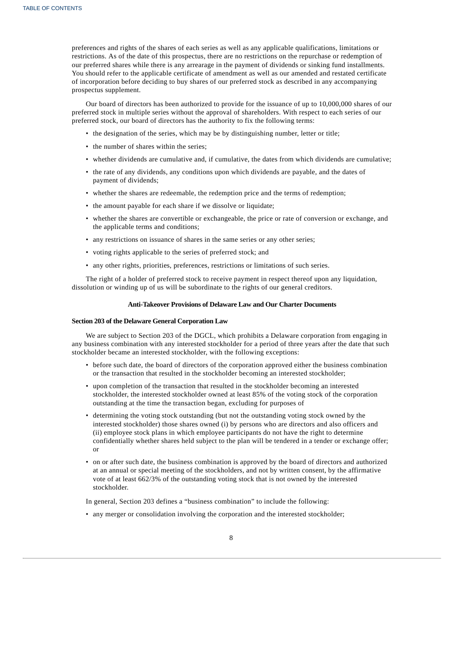preferences and rights of the shares of each series as well as any applicable qualifications, limitations or restrictions. As of the date of this prospectus, there are no restrictions on the repurchase or redemption of our preferred shares while there is any arrearage in the payment of dividends or sinking fund installments. You should refer to the applicable certificate of amendment as well as our amended and restated certificate of incorporation before deciding to buy shares of our preferred stock as described in any accompanying prospectus supplement.

Our board of directors has been authorized to provide for the issuance of up to 10,000,000 shares of our preferred stock in multiple series without the approval of shareholders. With respect to each series of our preferred stock, our board of directors has the authority to fix the following terms:

- the designation of the series, which may be by distinguishing number, letter or title;
- the number of shares within the series;
- whether dividends are cumulative and, if cumulative, the dates from which dividends are cumulative;
- the rate of any dividends, any conditions upon which dividends are payable, and the dates of payment of dividends;
- whether the shares are redeemable, the redemption price and the terms of redemption;
- the amount payable for each share if we dissolve or liquidate;
- whether the shares are convertible or exchangeable, the price or rate of conversion or exchange, and the applicable terms and conditions;
- any restrictions on issuance of shares in the same series or any other series;
- voting rights applicable to the series of preferred stock; and
- any other rights, priorities, preferences, restrictions or limitations of such series.

The right of a holder of preferred stock to receive payment in respect thereof upon any liquidation, dissolution or winding up of us will be subordinate to the rights of our general creditors.

### **Anti-Takeover Provisions of Delaware Law and Our Charter Documents**

### **Section 203 of the Delaware General Corporation Law**

We are subject to Section 203 of the DGCL, which prohibits a Delaware corporation from engaging in any business combination with any interested stockholder for a period of three years after the date that such stockholder became an interested stockholder, with the following exceptions:

- before such date, the board of directors of the corporation approved either the business combination or the transaction that resulted in the stockholder becoming an interested stockholder;
- upon completion of the transaction that resulted in the stockholder becoming an interested stockholder, the interested stockholder owned at least 85% of the voting stock of the corporation outstanding at the time the transaction began, excluding for purposes of
- determining the voting stock outstanding (but not the outstanding voting stock owned by the interested stockholder) those shares owned (i) by persons who are directors and also officers and (ii) employee stock plans in which employee participants do not have the right to determine confidentially whether shares held subject to the plan will be tendered in a tender or exchange offer; or
- on or after such date, the business combination is approved by the board of directors and authorized at an annual or special meeting of the stockholders, and not by written consent, by the affirmative vote of at least 662/3% of the outstanding voting stock that is not owned by the interested stockholder.

In general, Section 203 defines a "business combination" to include the following:

• any merger or consolidation involving the corporation and the interested stockholder;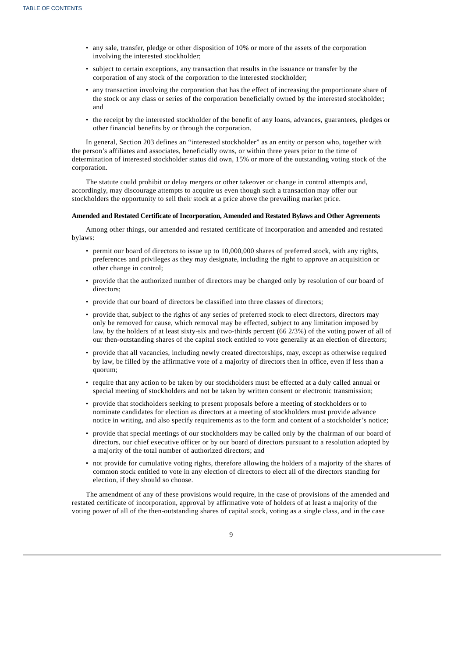- any sale, transfer, pledge or other disposition of 10% or more of the assets of the corporation involving the interested stockholder;
- subject to certain exceptions, any transaction that results in the issuance or transfer by the corporation of any stock of the corporation to the interested stockholder;
- any transaction involving the corporation that has the effect of increasing the proportionate share of the stock or any class or series of the corporation beneficially owned by the interested stockholder; and
- the receipt by the interested stockholder of the benefit of any loans, advances, guarantees, pledges or other financial benefits by or through the corporation.

In general, Section 203 defines an "interested stockholder" as an entity or person who, together with the person's affiliates and associates, beneficially owns, or within three years prior to the time of determination of interested stockholder status did own, 15% or more of the outstanding voting stock of the corporation.

The statute could prohibit or delay mergers or other takeover or change in control attempts and, accordingly, may discourage attempts to acquire us even though such a transaction may offer our stockholders the opportunity to sell their stock at a price above the prevailing market price.

#### **Amended and Restated Certificate of Incorporation, Amended and Restated Bylaws and Other Agreements**

Among other things, our amended and restated certificate of incorporation and amended and restated bylaws:

- permit our board of directors to issue up to 10,000,000 shares of preferred stock, with any rights, preferences and privileges as they may designate, including the right to approve an acquisition or other change in control;
- provide that the authorized number of directors may be changed only by resolution of our board of directors;
- provide that our board of directors be classified into three classes of directors;
- provide that, subject to the rights of any series of preferred stock to elect directors, directors may only be removed for cause, which removal may be effected, subject to any limitation imposed by law, by the holders of at least sixty-six and two-thirds percent (66 2/3%) of the voting power of all of our then-outstanding shares of the capital stock entitled to vote generally at an election of directors;
- provide that all vacancies, including newly created directorships, may, except as otherwise required by law, be filled by the affirmative vote of a majority of directors then in office, even if less than a quorum;
- require that any action to be taken by our stockholders must be effected at a duly called annual or special meeting of stockholders and not be taken by written consent or electronic transmission;
- provide that stockholders seeking to present proposals before a meeting of stockholders or to nominate candidates for election as directors at a meeting of stockholders must provide advance notice in writing, and also specify requirements as to the form and content of a stockholder's notice;
- provide that special meetings of our stockholders may be called only by the chairman of our board of directors, our chief executive officer or by our board of directors pursuant to a resolution adopted by a majority of the total number of authorized directors; and
- not provide for cumulative voting rights, therefore allowing the holders of a majority of the shares of common stock entitled to vote in any election of directors to elect all of the directors standing for election, if they should so choose.

The amendment of any of these provisions would require, in the case of provisions of the amended and restated certificate of incorporation, approval by affirmative vote of holders of at least a majority of the voting power of all of the then-outstanding shares of capital stock, voting as a single class, and in the case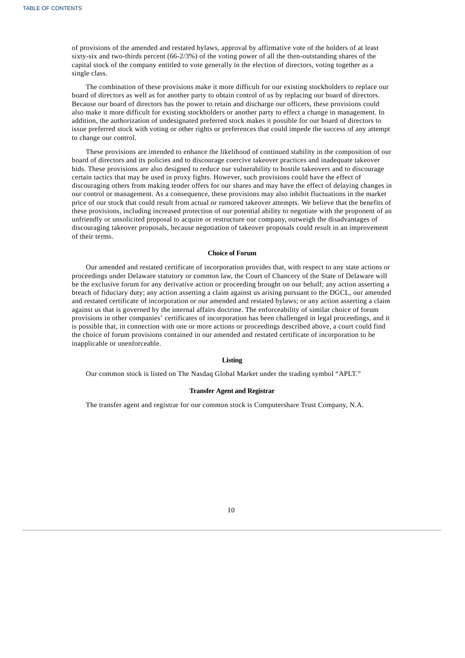of provisions of the amended and restated bylaws, approval by affirmative vote of the holders of at least sixty-six and two-thirds percent (66-2/3%) of the voting power of all the then-outstanding shares of the capital stock of the company entitled to vote generally in the election of directors, voting together as a single class.

The combination of these provisions make it more difficult for our existing stockholders to replace our board of directors as well as for another party to obtain control of us by replacing our board of directors. Because our board of directors has the power to retain and discharge our officers, these provisions could also make it more difficult for existing stockholders or another party to effect a change in management. In addition, the authorization of undesignated preferred stock makes it possible for our board of directors to issue preferred stock with voting or other rights or preferences that could impede the success of any attempt to change our control.

These provisions are intended to enhance the likelihood of continued stability in the composition of our board of directors and its policies and to discourage coercive takeover practices and inadequate takeover bids. These provisions are also designed to reduce our vulnerability to hostile takeovers and to discourage certain tactics that may be used in proxy fights. However, such provisions could have the effect of discouraging others from making tender offers for our shares and may have the effect of delaying changes in our control or management. As a consequence, these provisions may also inhibit fluctuations in the market price of our stock that could result from actual or rumored takeover attempts. We believe that the benefits of these provisions, including increased protection of our potential ability to negotiate with the proponent of an unfriendly or unsolicited proposal to acquire or restructure our company, outweigh the disadvantages of discouraging takeover proposals, because negotiation of takeover proposals could result in an improvement of their terms.

### **Choice of Forum**

Our amended and restated certificate of incorporation provides that, with respect to any state actions or proceedings under Delaware statutory or common law, the Court of Chancery of the State of Delaware will be the exclusive forum for any derivative action or proceeding brought on our behalf; any action asserting a breach of fiduciary duty; any action asserting a claim against us arising pursuant to the DGCL, our amended and restated certificate of incorporation or our amended and restated bylaws; or any action asserting a claim against us that is governed by the internal affairs doctrine. The enforceability of similar choice of forum provisions in other companies' certificates of incorporation has been challenged in legal proceedings, and it is possible that, in connection with one or more actions or proceedings described above, a court could find the choice of forum provisions contained in our amended and restated certificate of incorporation to be inapplicable or unenforceable.

#### **Listing**

Our common stock is listed on The Nasdaq Global Market under the trading symbol "APLT."

### **Transfer Agent and Registrar**

<span id="page-40-0"></span>The transfer agent and registrar for our common stock is Computershare Trust Company, N.A.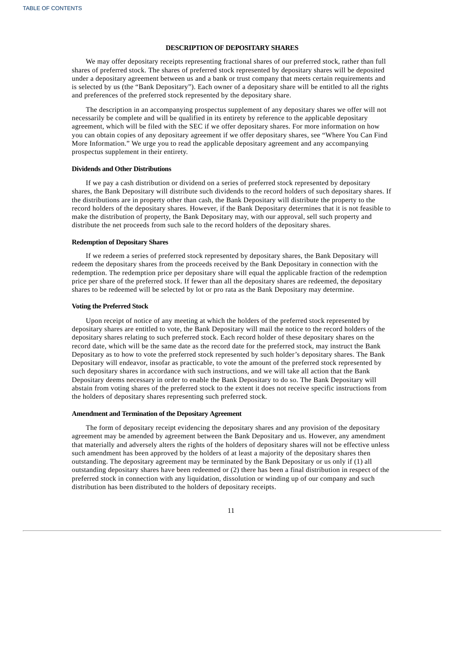### **DESCRIPTION OF DEPOSITARY SHARES**

We may offer depositary receipts representing fractional shares of our preferred stock, rather than full shares of preferred stock. The shares of preferred stock represented by depositary shares will be deposited under a depositary agreement between us and a bank or trust company that meets certain requirements and is selected by us (the "Bank Depositary"). Each owner of a depositary share will be entitled to all the rights and preferences of the preferred stock represented by the depositary share.

The description in an accompanying prospectus supplement of any depositary shares we offer will not necessarily be complete and will be qualified in its entirety by reference to the applicable depositary agreement, which will be filed with the SEC if we offer depositary shares. For more information on how you can obtain copies of any depositary agreement if we offer depositary shares, see "Where You Can Find More Information." We urge you to read the applicable depositary agreement and any accompanying prospectus supplement in their entirety.

### **Dividends and Other Distributions**

If we pay a cash distribution or dividend on a series of preferred stock represented by depositary shares, the Bank Depositary will distribute such dividends to the record holders of such depositary shares. If the distributions are in property other than cash, the Bank Depositary will distribute the property to the record holders of the depositary shares. However, if the Bank Depositary determines that it is not feasible to make the distribution of property, the Bank Depositary may, with our approval, sell such property and distribute the net proceeds from such sale to the record holders of the depositary shares.

#### **Redemption of Depositary Shares**

If we redeem a series of preferred stock represented by depositary shares, the Bank Depositary will redeem the depositary shares from the proceeds received by the Bank Depositary in connection with the redemption. The redemption price per depositary share will equal the applicable fraction of the redemption price per share of the preferred stock. If fewer than all the depositary shares are redeemed, the depositary shares to be redeemed will be selected by lot or pro rata as the Bank Depositary may determine.

#### **Voting the Preferred Stock**

Upon receipt of notice of any meeting at which the holders of the preferred stock represented by depositary shares are entitled to vote, the Bank Depositary will mail the notice to the record holders of the depositary shares relating to such preferred stock. Each record holder of these depositary shares on the record date, which will be the same date as the record date for the preferred stock, may instruct the Bank Depositary as to how to vote the preferred stock represented by such holder's depositary shares. The Bank Depositary will endeavor, insofar as practicable, to vote the amount of the preferred stock represented by such depositary shares in accordance with such instructions, and we will take all action that the Bank Depositary deems necessary in order to enable the Bank Depositary to do so. The Bank Depositary will abstain from voting shares of the preferred stock to the extent it does not receive specific instructions from the holders of depositary shares representing such preferred stock.

#### **Amendment and Termination of the Depositary Agreement**

<span id="page-41-0"></span>The form of depositary receipt evidencing the depositary shares and any provision of the depositary agreement may be amended by agreement between the Bank Depositary and us. However, any amendment that materially and adversely alters the rights of the holders of depositary shares will not be effective unless such amendment has been approved by the holders of at least a majority of the depositary shares then outstanding. The depositary agreement may be terminated by the Bank Depositary or us only if (1) all outstanding depositary shares have been redeemed or (2) there has been a final distribution in respect of the preferred stock in connection with any liquidation, dissolution or winding up of our company and such distribution has been distributed to the holders of depositary receipts.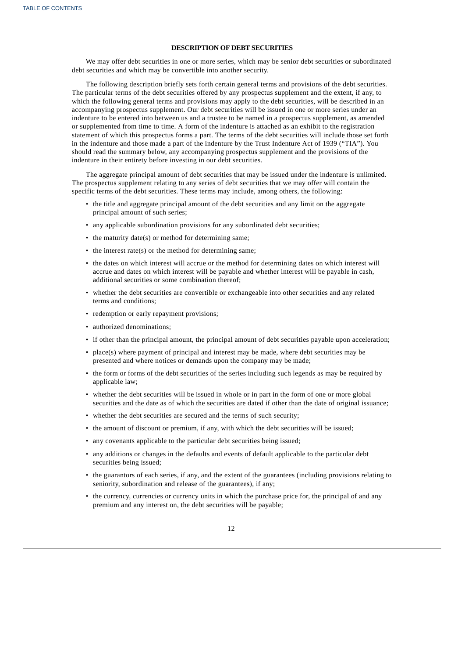### **DESCRIPTION OF DEBT SECURITIES**

We may offer debt securities in one or more series, which may be senior debt securities or subordinated debt securities and which may be convertible into another security.

The following description briefly sets forth certain general terms and provisions of the debt securities. The particular terms of the debt securities offered by any prospectus supplement and the extent, if any, to which the following general terms and provisions may apply to the debt securities, will be described in an accompanying prospectus supplement. Our debt securities will be issued in one or more series under an indenture to be entered into between us and a trustee to be named in a prospectus supplement, as amended or supplemented from time to time. A form of the indenture is attached as an exhibit to the registration statement of which this prospectus forms a part. The terms of the debt securities will include those set forth in the indenture and those made a part of the indenture by the Trust Indenture Act of 1939 ("TIA"). You should read the summary below, any accompanying prospectus supplement and the provisions of the indenture in their entirety before investing in our debt securities.

The aggregate principal amount of debt securities that may be issued under the indenture is unlimited. The prospectus supplement relating to any series of debt securities that we may offer will contain the specific terms of the debt securities. These terms may include, among others, the following:

- the title and aggregate principal amount of the debt securities and any limit on the aggregate principal amount of such series;
- any applicable subordination provisions for any subordinated debt securities;
- the maturity date(s) or method for determining same;
- the interest rate(s) or the method for determining same;
- the dates on which interest will accrue or the method for determining dates on which interest will accrue and dates on which interest will be payable and whether interest will be payable in cash, additional securities or some combination thereof;
- whether the debt securities are convertible or exchangeable into other securities and any related terms and conditions;
- redemption or early repayment provisions;
- authorized denominations;
- if other than the principal amount, the principal amount of debt securities payable upon acceleration;
- place(s) where payment of principal and interest may be made, where debt securities may be presented and where notices or demands upon the company may be made;
- the form or forms of the debt securities of the series including such legends as may be required by applicable law;
- whether the debt securities will be issued in whole or in part in the form of one or more global securities and the date as of which the securities are dated if other than the date of original issuance;
- whether the debt securities are secured and the terms of such security;
- the amount of discount or premium, if any, with which the debt securities will be issued;
- any covenants applicable to the particular debt securities being issued;
- any additions or changes in the defaults and events of default applicable to the particular debt securities being issued;
- the guarantors of each series, if any, and the extent of the guarantees (including provisions relating to seniority, subordination and release of the guarantees), if any;
- the currency, currencies or currency units in which the purchase price for, the principal of and any premium and any interest on, the debt securities will be payable;

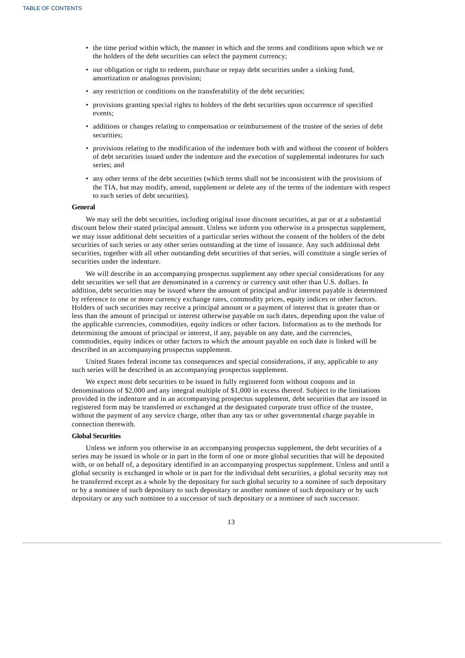- the time period within which, the manner in which and the terms and conditions upon which we or the holders of the debt securities can select the payment currency;
- our obligation or right to redeem, purchase or repay debt securities under a sinking fund, amortization or analogous provision;
- any restriction or conditions on the transferability of the debt securities;
- provisions granting special rights to holders of the debt securities upon occurrence of specified events;
- additions or changes relating to compensation or reimbursement of the trustee of the series of debt securities;
- provisions relating to the modification of the indenture both with and without the consent of holders of debt securities issued under the indenture and the execution of supplemental indentures for such series; and
- any other terms of the debt securities (which terms shall not be inconsistent with the provisions of the TIA, but may modify, amend, supplement or delete any of the terms of the indenture with respect to such series of debt securities).

#### **General**

We may sell the debt securities, including original issue discount securities, at par or at a substantial discount below their stated principal amount. Unless we inform you otherwise in a prospectus supplement, we may issue additional debt securities of a particular series without the consent of the holders of the debt securities of such series or any other series outstanding at the time of issuance. Any such additional debt securities, together with all other outstanding debt securities of that series, will constitute a single series of securities under the indenture.

We will describe in an accompanying prospectus supplement any other special considerations for any debt securities we sell that are denominated in a currency or currency unit other than U.S. dollars. In addition, debt securities may be issued where the amount of principal and/or interest payable is determined by reference to one or more currency exchange rates, commodity prices, equity indices or other factors. Holders of such securities may receive a principal amount or a payment of interest that is greater than or less than the amount of principal or interest otherwise payable on such dates, depending upon the value of the applicable currencies, commodities, equity indices or other factors. Information as to the methods for determining the amount of principal or interest, if any, payable on any date, and the currencies, commodities, equity indices or other factors to which the amount payable on such date is linked will be described in an accompanying prospectus supplement.

United States federal income tax consequences and special considerations, if any, applicable to any such series will be described in an accompanying prospectus supplement.

We expect most debt securities to be issued in fully registered form without coupons and in denominations of \$2,000 and any integral multiple of \$1,000 in excess thereof. Subject to the limitations provided in the indenture and in an accompanying prospectus supplement, debt securities that are issued in registered form may be transferred or exchanged at the designated corporate trust office of the trustee, without the payment of any service charge, other than any tax or other governmental charge payable in connection therewith.

#### **Global Securities**

Unless we inform you otherwise in an accompanying prospectus supplement, the debt securities of a series may be issued in whole or in part in the form of one or more global securities that will be deposited with, or on behalf of, a depositary identified in an accompanying prospectus supplement. Unless and until a global security is exchanged in whole or in part for the individual debt securities, a global security may not be transferred except as a whole by the depositary for such global security to a nominee of such depositary or by a nominee of such depositary to such depositary or another nominee of such depositary or by such depositary or any such nominee to a successor of such depositary or a nominee of such successor.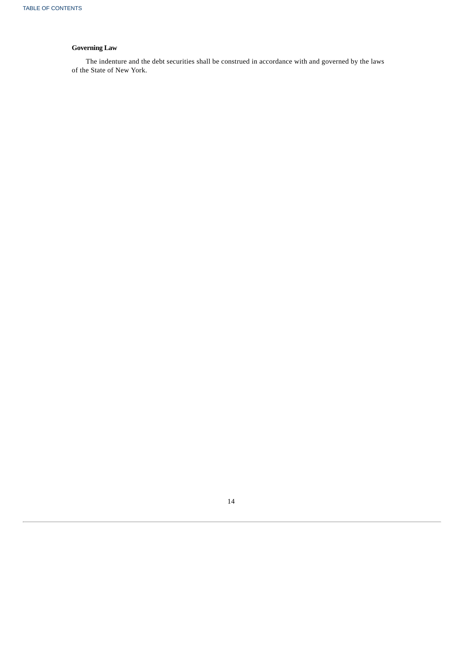# **Governing Law**

<span id="page-44-0"></span>The indenture and the debt securities shall be construed in accordance with and governed by the laws of the State of New York.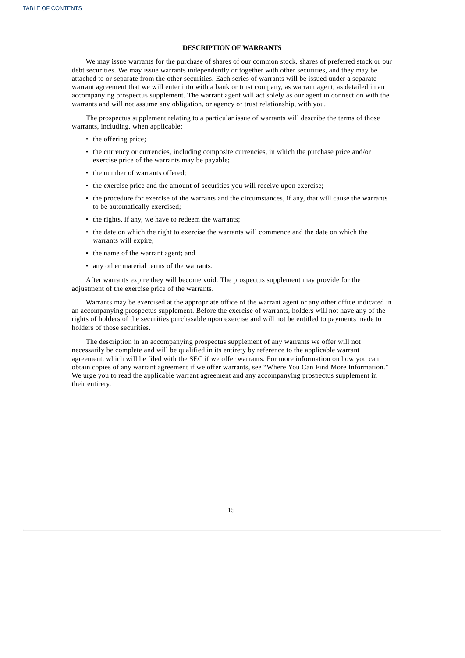### **DESCRIPTION OF WARRANTS**

We may issue warrants for the purchase of shares of our common stock, shares of preferred stock or our debt securities. We may issue warrants independently or together with other securities, and they may be attached to or separate from the other securities. Each series of warrants will be issued under a separate warrant agreement that we will enter into with a bank or trust company, as warrant agent, as detailed in an accompanying prospectus supplement. The warrant agent will act solely as our agent in connection with the warrants and will not assume any obligation, or agency or trust relationship, with you.

The prospectus supplement relating to a particular issue of warrants will describe the terms of those warrants, including, when applicable:

- the offering price;
- the currency or currencies, including composite currencies, in which the purchase price and/or exercise price of the warrants may be payable;
- the number of warrants offered;
- the exercise price and the amount of securities you will receive upon exercise;
- the procedure for exercise of the warrants and the circumstances, if any, that will cause the warrants to be automatically exercised;
- the rights, if any, we have to redeem the warrants;
- the date on which the right to exercise the warrants will commence and the date on which the warrants will expire;
- the name of the warrant agent; and
- any other material terms of the warrants.

After warrants expire they will become void. The prospectus supplement may provide for the adjustment of the exercise price of the warrants.

Warrants may be exercised at the appropriate office of the warrant agent or any other office indicated in an accompanying prospectus supplement. Before the exercise of warrants, holders will not have any of the rights of holders of the securities purchasable upon exercise and will not be entitled to payments made to holders of those securities.

<span id="page-45-0"></span>The description in an accompanying prospectus supplement of any warrants we offer will not necessarily be complete and will be qualified in its entirety by reference to the applicable warrant agreement, which will be filed with the SEC if we offer warrants. For more information on how you can obtain copies of any warrant agreement if we offer warrants, see "Where You Can Find More Information." We urge you to read the applicable warrant agreement and any accompanying prospectus supplement in their entirety.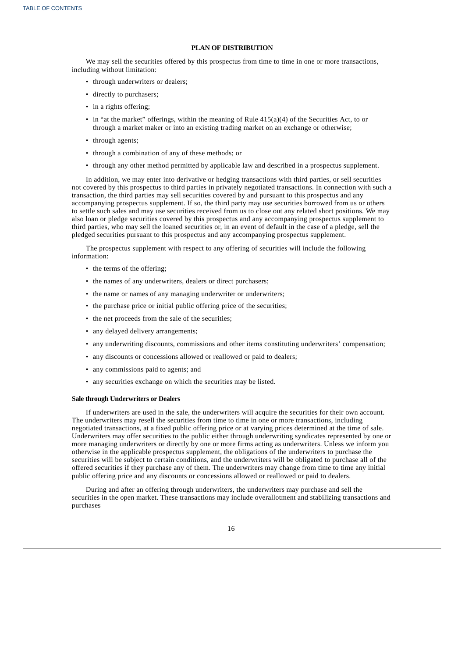### **PLAN OF DISTRIBUTION**

We may sell the securities offered by this prospectus from time to time in one or more transactions, including without limitation:

- through underwriters or dealers;
- directly to purchasers;
- in a rights offering;
- in "at the market" offerings, within the meaning of Rule 415(a)(4) of the Securities Act, to or through a market maker or into an existing trading market on an exchange or otherwise;
- through agents;
- through a combination of any of these methods; or
- through any other method permitted by applicable law and described in a prospectus supplement.

In addition, we may enter into derivative or hedging transactions with third parties, or sell securities not covered by this prospectus to third parties in privately negotiated transactions. In connection with such a transaction, the third parties may sell securities covered by and pursuant to this prospectus and any accompanying prospectus supplement. If so, the third party may use securities borrowed from us or others to settle such sales and may use securities received from us to close out any related short positions. We may also loan or pledge securities covered by this prospectus and any accompanying prospectus supplement to third parties, who may sell the loaned securities or, in an event of default in the case of a pledge, sell the pledged securities pursuant to this prospectus and any accompanying prospectus supplement.

The prospectus supplement with respect to any offering of securities will include the following information:

- the terms of the offering;
- the names of any underwriters, dealers or direct purchasers;
- the name or names of any managing underwriter or underwriters;
- the purchase price or initial public offering price of the securities;
- the net proceeds from the sale of the securities;
- any delayed delivery arrangements;
- any underwriting discounts, commissions and other items constituting underwriters' compensation;
- any discounts or concessions allowed or reallowed or paid to dealers;
- any commissions paid to agents; and
- any securities exchange on which the securities may be listed.

### **Sale through Underwriters or Dealers**

If underwriters are used in the sale, the underwriters will acquire the securities for their own account. The underwriters may resell the securities from time to time in one or more transactions, including negotiated transactions, at a fixed public offering price or at varying prices determined at the time of sale. Underwriters may offer securities to the public either through underwriting syndicates represented by one or more managing underwriters or directly by one or more firms acting as underwriters. Unless we inform you otherwise in the applicable prospectus supplement, the obligations of the underwriters to purchase the securities will be subject to certain conditions, and the underwriters will be obligated to purchase all of the offered securities if they purchase any of them. The underwriters may change from time to time any initial public offering price and any discounts or concessions allowed or reallowed or paid to dealers.

During and after an offering through underwriters, the underwriters may purchase and sell the securities in the open market. These transactions may include overallotment and stabilizing transactions and purchases

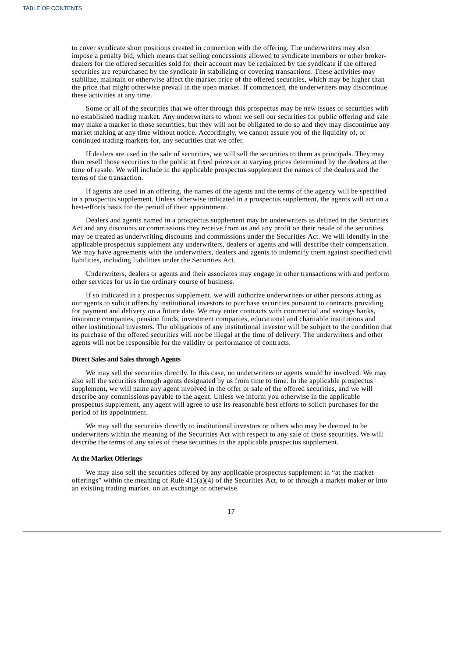to cover syndicate short positions created in connection with the offering. The underwriters may also impose a penalty bid, which means that selling concessions allowed to syndicate members or other brokerdealers for the offered securities sold for their account may be reclaimed by the syndicate if the offered securities are repurchased by the syndicate in stabilizing or covering transactions. These activities may stabilize, maintain or otherwise affect the market price of the offered securities, which may be higher than the price that might otherwise prevail in the open market. If commenced, the underwriters may discontinue these activities at any time.

Some or all of the securities that we offer through this prospectus may be new issues of securities with no established trading market. Any underwriters to whom we sell our securities for public offering and sale may make a market in those securities, but they will not be obligated to do so and they may discontinue any market making at any time without notice. Accordingly, we cannot assure you of the liquidity of, or continued trading markets for, any securities that we offer.

If dealers are used in the sale of securities, we will sell the securities to them as principals. They may then resell those securities to the public at fixed prices or at varying prices determined by the dealers at the time of resale. We will include in the applicable prospectus supplement the names of the dealers and the terms of the transaction.

If agents are used in an offering, the names of the agents and the terms of the agency will be specified in a prospectus supplement. Unless otherwise indicated in a prospectus supplement, the agents will act on a best-efforts basis for the period of their appointment.

Dealers and agents named in a prospectus supplement may be underwriters as defined in the Securities Act and any discounts or commissions they receive from us and any profit on their resale of the securities may be treated as underwriting discounts and commissions under the Securities Act. We will identify in the applicable prospectus supplement any underwriters, dealers or agents and will describe their compensation. We may have agreements with the underwriters, dealers and agents to indemnify them against specified civil liabilities, including liabilities under the Securities Act.

Underwriters, dealers or agents and their associates may engage in other transactions with and perform other services for us in the ordinary course of business.

If so indicated in a prospectus supplement, we will authorize underwriters or other persons acting as our agents to solicit offers by institutional investors to purchase securities pursuant to contracts providing for payment and delivery on a future date. We may enter contracts with commercial and savings banks, insurance companies, pension funds, investment companies, educational and charitable institutions and other institutional investors. The obligations of any institutional investor will be subject to the condition that its purchase of the offered securities will not be illegal at the time of delivery. The underwriters and other agents will not be responsible for the validity or performance of contracts.

#### **Direct Sales and Sales through Agents**

We may sell the securities directly. In this case, no underwriters or agents would be involved. We may also sell the securities through agents designated by us from time to time. In the applicable prospectus supplement, we will name any agent involved in the offer or sale of the offered securities, and we will describe any commissions payable to the agent. Unless we inform you otherwise in the applicable prospectus supplement, any agent will agree to use its reasonable best efforts to solicit purchases for the period of its appointment.

We may sell the securities directly to institutional investors or others who may be deemed to be underwriters within the meaning of the Securities Act with respect to any sale of those securities. We will describe the terms of any sales of these securities in the applicable prospectus supplement.

### **At the Market Offerings**

<span id="page-47-0"></span>We may also sell the securities offered by any applicable prospectus supplement in "at the market offerings" within the meaning of Rule 415(a)(4) of the Securities Act, to or through a market maker or into an existing trading market, on an exchange or otherwise.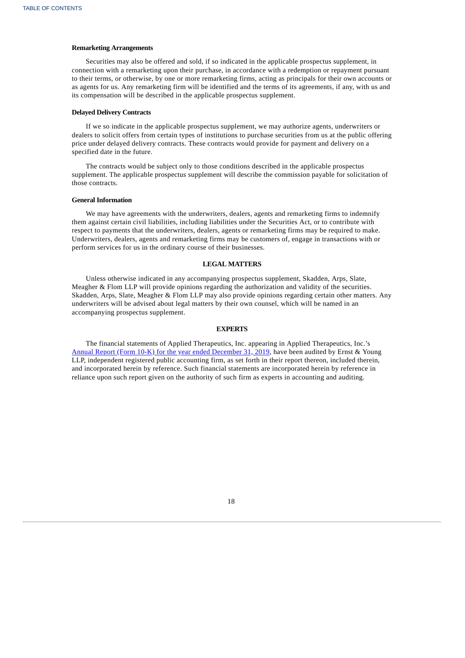### **Remarketing Arrangements**

Securities may also be offered and sold, if so indicated in the applicable prospectus supplement, in connection with a remarketing upon their purchase, in accordance with a redemption or repayment pursuant to their terms, or otherwise, by one or more remarketing firms, acting as principals for their own accounts or as agents for us. Any remarketing firm will be identified and the terms of its agreements, if any, with us and its compensation will be described in the applicable prospectus supplement.

### **Delayed Delivery Contracts**

If we so indicate in the applicable prospectus supplement, we may authorize agents, underwriters or dealers to solicit offers from certain types of institutions to purchase securities from us at the public offering price under delayed delivery contracts. These contracts would provide for payment and delivery on a specified date in the future.

The contracts would be subject only to those conditions described in the applicable prospectus supplement. The applicable prospectus supplement will describe the commission payable for solicitation of those contracts.

### **General Information**

We may have agreements with the underwriters, dealers, agents and remarketing firms to indemnify them against certain civil liabilities, including liabilities under the Securities Act, or to contribute with respect to payments that the underwriters, dealers, agents or remarketing firms may be required to make. Underwriters, dealers, agents and remarketing firms may be customers of, engage in transactions with or perform services for us in the ordinary course of their businesses.

### **LEGAL MATTERS**

Unless otherwise indicated in any accompanying prospectus supplement, Skadden, Arps, Slate, Meagher & Flom LLP will provide opinions regarding the authorization and validity of the securities. Skadden, Arps, Slate, Meagher & Flom LLP may also provide opinions regarding certain other matters. Any underwriters will be advised about legal matters by their own counsel, which will be named in an accompanying prospectus supplement.

### **EXPERTS**

The financial statements of Applied Therapeutics, Inc. appearing in Applied Therapeutics, Inc.'s Annual Report (Form 10-K) for the year ended [December](http://www.sec.gov/Archives/edgar/data/1697532/000155837020002630/aplt-20191231x10k.htm) 31, 2019, have been audited by Ernst & Young LLP, independent registered public accounting firm, as set forth in their report thereon, included therein, and incorporated herein by reference. Such financial statements are incorporated herein by reference in reliance upon such report given on the authority of such firm as experts in accounting and auditing.